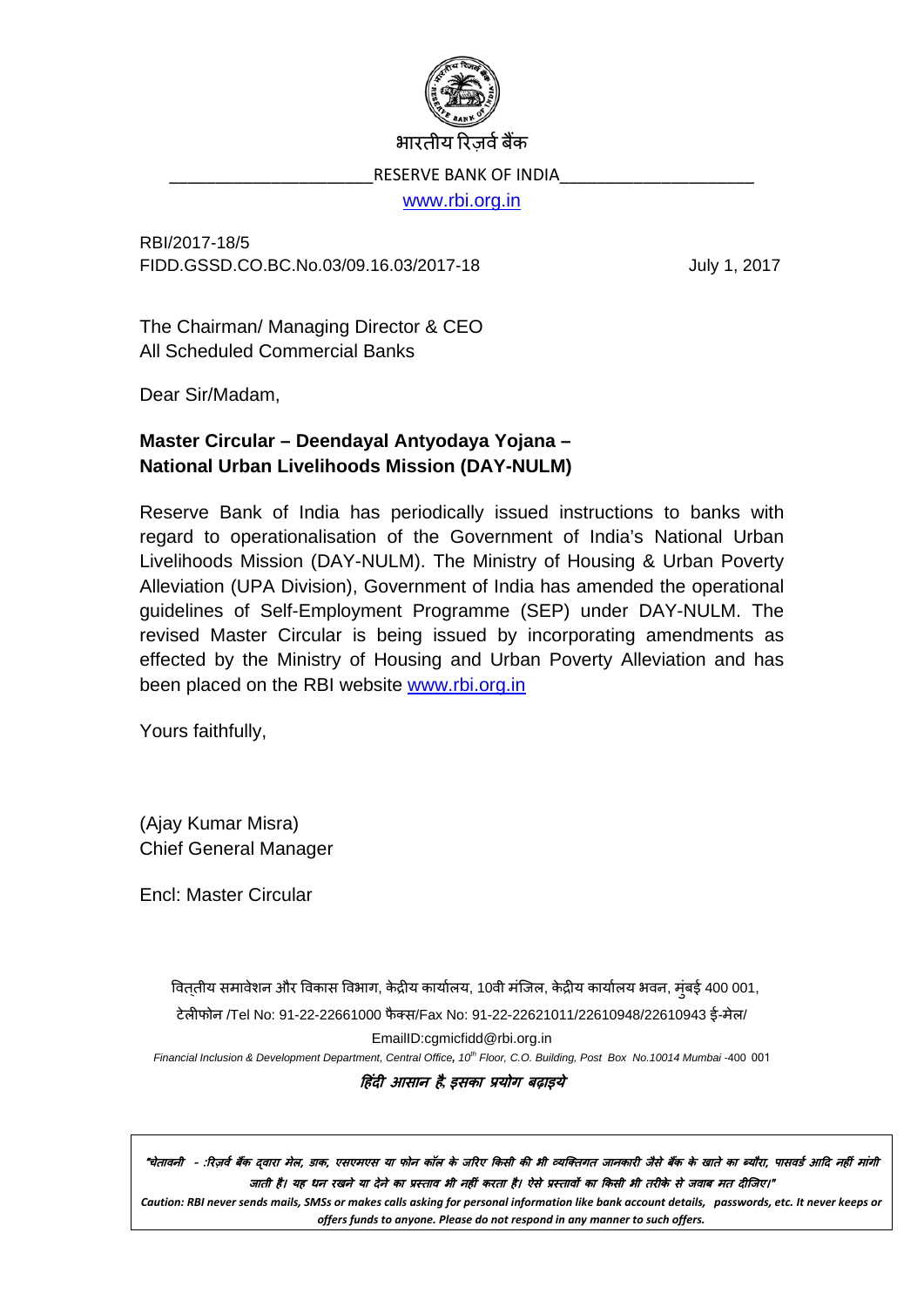

भारतीय रिजर्व बैंक

RESERVE BANK OF INDIA

[www.rbi.org.in](http://www.rbi.org.in/)

RBI/2017-18/5 FIDD.GSSD.CO.BC.No.03/09.16.03/2017-18 July 1, 2017

The Chairman/ Managing Director & CEO All Scheduled Commercial Banks

Dear Sir/Madam,

## **Master Circular – Deendayal Antyodaya Yojana – National Urban Livelihoods Mission (DAY-NULM)**

Reserve Bank of India has periodically issued instructions to banks with regard to operationalisation of the Government of India's National Urban Livelihoods Mission (DAY-NULM). The Ministry of Housing & Urban Poverty Alleviation (UPA Division), Government of India has amended the operational guidelines of Self-Employment Programme (SEP) under DAY-NULM. The revised Master Circular is being issued by incorporating amendments as effected by the Ministry of Housing and Urban Poverty Alleviation and has been placed on the RBI website [www.rbi.org.in](https://www.rbi.org.in/)

Yours faithfully,

(Ajay Kumar Misra) Chief General Manager

Encl: Master Circular

विततीय समावेशन और विकास विभाग, केद्रीय कार्यालय, 10वी मंजिल, केद्रीय कार्यालय भवन, मुंबई 400 001,

टेल�फोन /Tel No: 91-22-22661000 फै क्स/Fax No: 91-22-22621011/22610948/22610943 ई-मेल/

EmailID:cgmicfidd@rbi.org.in

*Financial Inclusion & Development Department, Central Office, 10th Floor, C.O. Building, Post Box No.10014 Mumbai* -400 001

�हंद� आसान है*,* इसका प्रयोग बढ़ाइये

"चेतावनी - :रिज़र्व बैंक दवारा मेल, डाक, एसएमएस या फोन कॉल के जरिए किसी की भी व्यक्तिगत जानकारी जैसे बैंक के खाते का ब्यौरा, पासवर्ड आदि नहीं मांगी जाती है। यह धन रखने या देने का प्रस्ताव भी नहीं करता है। ऐसे प्रस्तावों का किसी भी तरीके से जवाब मत दीजिए।"

*Caution: RBI never sends mails, SMSs or makes calls asking for personal information like bank account details, passwords, etc. It never keeps or offers funds to anyone. Please do not respond in any manner to such offers.*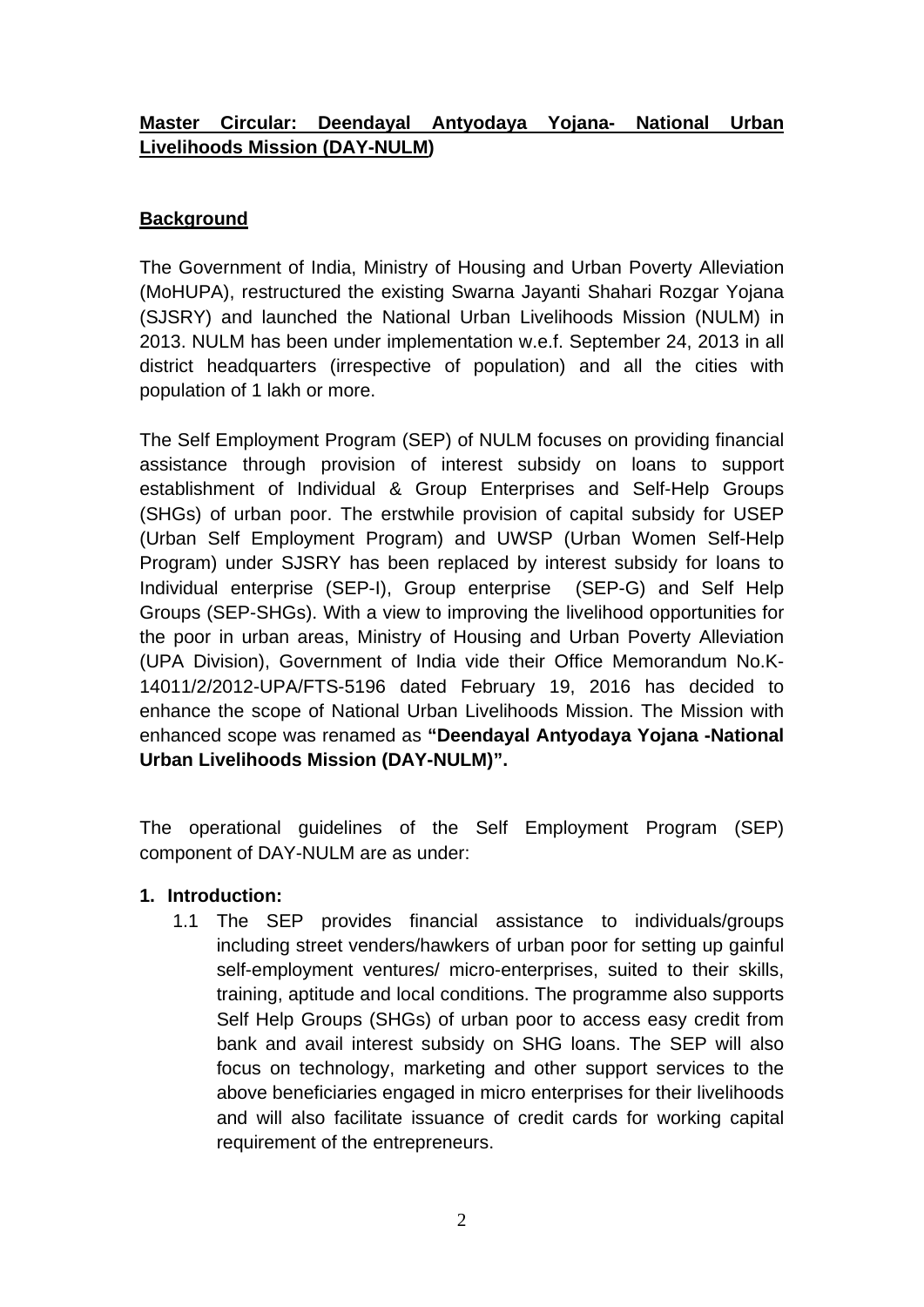## **Master Circular: Deendayal Antyodaya Yojana- National Urban Livelihoods Mission (DAY-NULM)**

## **Background**

The Government of India, Ministry of Housing and Urban Poverty Alleviation (MoHUPA), restructured the existing Swarna Jayanti Shahari Rozgar Yojana (SJSRY) and launched the National Urban Livelihoods Mission (NULM) in 2013. NULM has been under implementation w.e.f. September 24, 2013 in all district headquarters (irrespective of population) and all the cities with population of 1 lakh or more.

The Self Employment Program (SEP) of NULM focuses on providing financial assistance through provision of interest subsidy on loans to support establishment of Individual & Group Enterprises and Self-Help Groups (SHGs) of urban poor. The erstwhile provision of capital subsidy for USEP (Urban Self Employment Program) and UWSP (Urban Women Self-Help Program) under SJSRY has been replaced by interest subsidy for loans to Individual enterprise (SEP-I), Group enterprise (SEP-G) and Self Help Groups (SEP-SHGs). With a view to improving the livelihood opportunities for the poor in urban areas, Ministry of Housing and Urban Poverty Alleviation (UPA Division), Government of India vide their Office Memorandum No.K-14011/2/2012-UPA/FTS-5196 dated February 19, 2016 has decided to enhance the scope of National Urban Livelihoods Mission. The Mission with enhanced scope was renamed as **"Deendayal Antyodaya Yojana -National Urban Livelihoods Mission (DAY-NULM)".**

The operational guidelines of the Self Employment Program (SEP) component of DAY-NULM are as under:

## **1. Introduction:**

1.1 The SEP provides financial assistance to individuals/groups including street venders/hawkers of urban poor for setting up gainful self-employment ventures/ micro-enterprises, suited to their skills, training, aptitude and local conditions. The programme also supports Self Help Groups (SHGs) of urban poor to access easy credit from bank and avail interest subsidy on SHG loans. The SEP will also focus on technology, marketing and other support services to the above beneficiaries engaged in micro enterprises for their livelihoods and will also facilitate issuance of credit cards for working capital requirement of the entrepreneurs.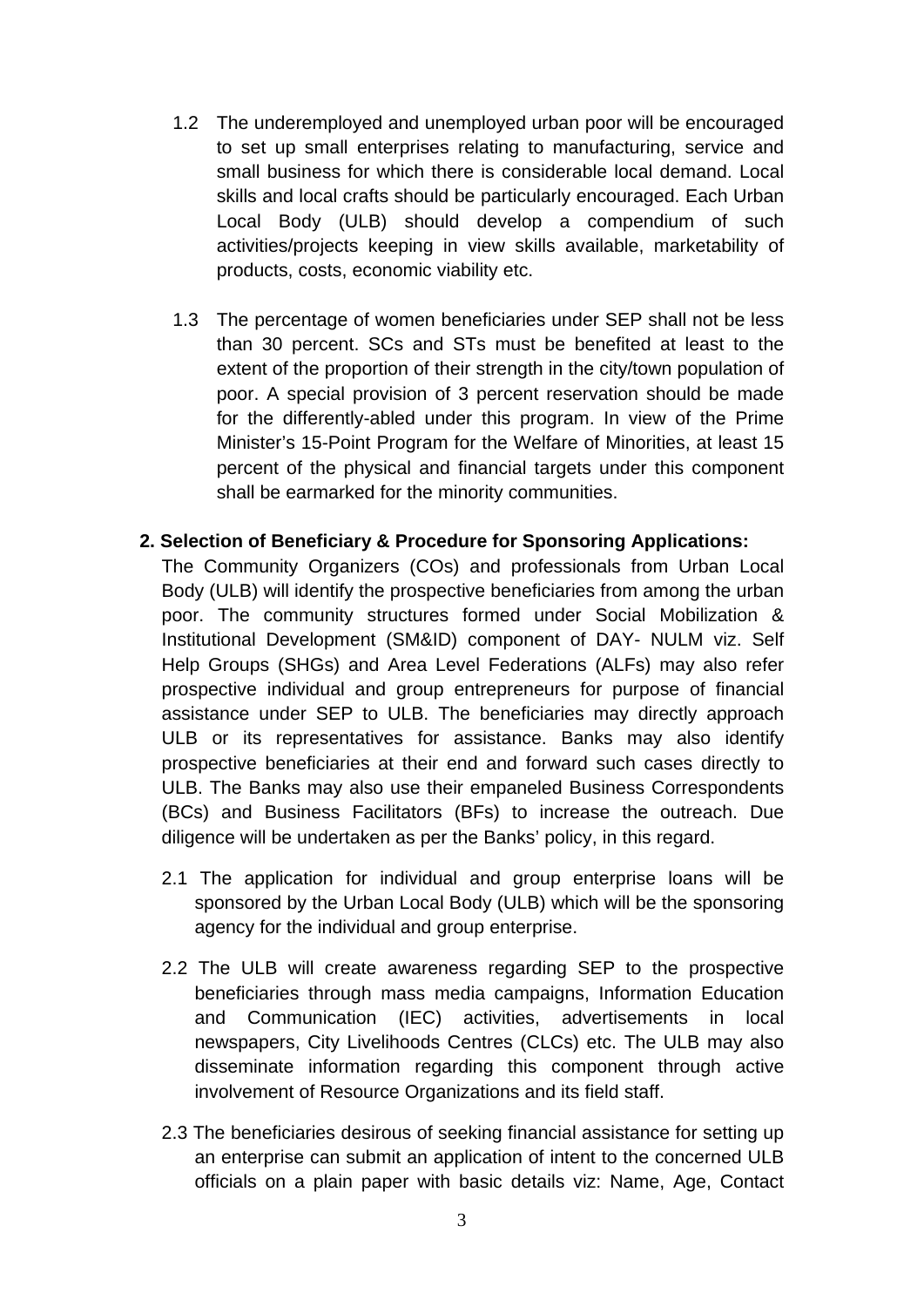- 1.2 The underemployed and unemployed urban poor will be encouraged to set up small enterprises relating to manufacturing, service and small business for which there is considerable local demand. Local skills and local crafts should be particularly encouraged. Each Urban Local Body (ULB) should develop a compendium of such activities/projects keeping in view skills available, marketability of products, costs, economic viability etc.
- 1.3 The percentage of women beneficiaries under SEP shall not be less than 30 percent. SCs and STs must be benefited at least to the extent of the proportion of their strength in the city/town population of poor. A special provision of 3 percent reservation should be made for the differently-abled under this program. In view of the Prime Minister's 15-Point Program for the Welfare of Minorities, at least 15 percent of the physical and financial targets under this component shall be earmarked for the minority communities.

#### **2. Selection of Beneficiary & Procedure for Sponsoring Applications:**

The Community Organizers (COs) and professionals from Urban Local Body (ULB) will identify the prospective beneficiaries from among the urban poor. The community structures formed under Social Mobilization & Institutional Development (SM&ID) component of DAY- NULM viz. Self Help Groups (SHGs) and Area Level Federations (ALFs) may also refer prospective individual and group entrepreneurs for purpose of financial assistance under SEP to ULB. The beneficiaries may directly approach ULB or its representatives for assistance. Banks may also identify prospective beneficiaries at their end and forward such cases directly to ULB. The Banks may also use their empaneled Business Correspondents (BCs) and Business Facilitators (BFs) to increase the outreach. Due diligence will be undertaken as per the Banks' policy, in this regard.

- 2.1 The application for individual and group enterprise loans will be sponsored by the Urban Local Body (ULB) which will be the sponsoring agency for the individual and group enterprise.
- 2.2 The ULB will create awareness regarding SEP to the prospective beneficiaries through mass media campaigns, Information Education and Communication (IEC) activities, advertisements in local newspapers, City Livelihoods Centres (CLCs) etc. The ULB may also disseminate information regarding this component through active involvement of Resource Organizations and its field staff.
- 2.3 The beneficiaries desirous of seeking financial assistance for setting up an enterprise can submit an application of intent to the concerned ULB officials on a plain paper with basic details viz: Name, Age, Contact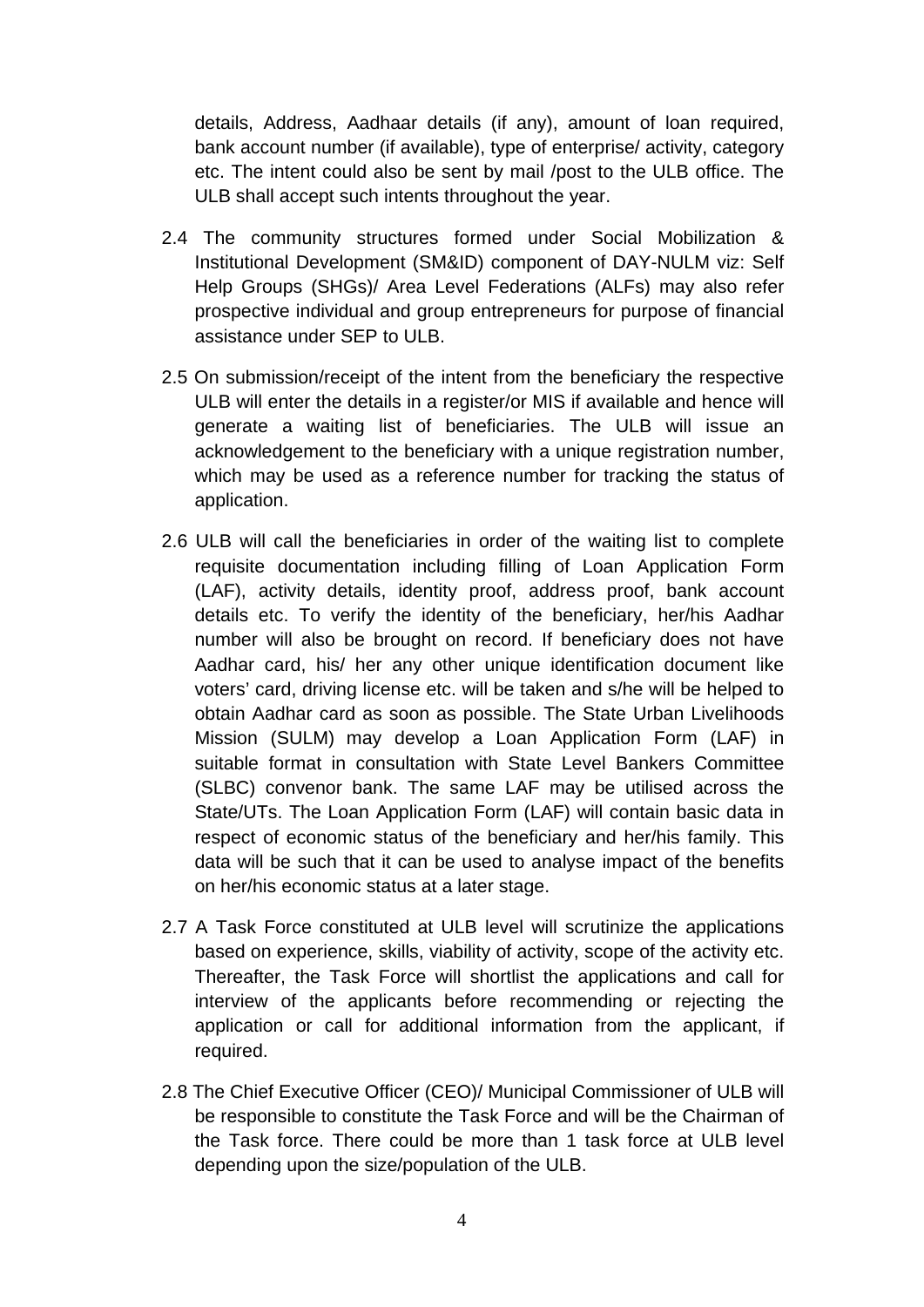details, Address, Aadhaar details (if any), amount of loan required, bank account number (if available), type of enterprise/ activity, category etc. The intent could also be sent by mail /post to the ULB office. The ULB shall accept such intents throughout the year.

- 2.4 The community structures formed under Social Mobilization & Institutional Development (SM&ID) component of DAY-NULM viz: Self Help Groups (SHGs)/ Area Level Federations (ALFs) may also refer prospective individual and group entrepreneurs for purpose of financial assistance under SEP to ULB.
- 2.5 On submission/receipt of the intent from the beneficiary the respective ULB will enter the details in a register/or MIS if available and hence will generate a waiting list of beneficiaries. The ULB will issue an acknowledgement to the beneficiary with a unique registration number, which may be used as a reference number for tracking the status of application.
- 2.6 ULB will call the beneficiaries in order of the waiting list to complete requisite documentation including filling of Loan Application Form (LAF), activity details, identity proof, address proof, bank account details etc. To verify the identity of the beneficiary, her/his Aadhar number will also be brought on record. If beneficiary does not have Aadhar card, his/ her any other unique identification document like voters' card, driving license etc. will be taken and s/he will be helped to obtain Aadhar card as soon as possible. The State Urban Livelihoods Mission (SULM) may develop a Loan Application Form (LAF) in suitable format in consultation with State Level Bankers Committee (SLBC) convenor bank. The same LAF may be utilised across the State/UTs. The Loan Application Form (LAF) will contain basic data in respect of economic status of the beneficiary and her/his family. This data will be such that it can be used to analyse impact of the benefits on her/his economic status at a later stage.
- 2.7 A Task Force constituted at ULB level will scrutinize the applications based on experience, skills, viability of activity, scope of the activity etc. Thereafter, the Task Force will shortlist the applications and call for interview of the applicants before recommending or rejecting the application or call for additional information from the applicant, if required.
- 2.8 The Chief Executive Officer (CEO)/ Municipal Commissioner of ULB will be responsible to constitute the Task Force and will be the Chairman of the Task force. There could be more than 1 task force at ULB level depending upon the size/population of the ULB.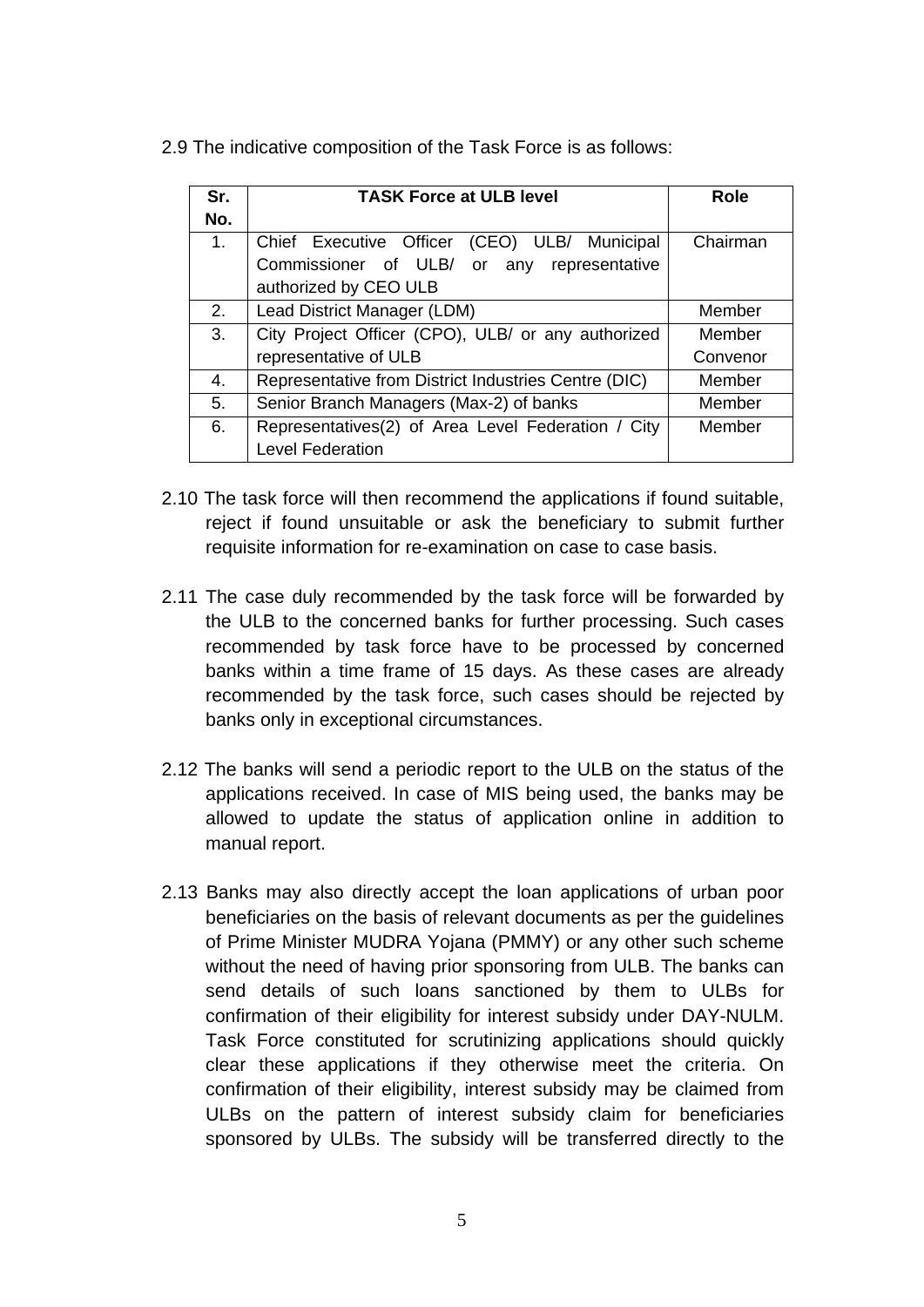2.9 The indicative composition of the Task Force is as follows:

| Sr. | <b>TASK Force at ULB level</b>                       | <b>Role</b> |  |  |
|-----|------------------------------------------------------|-------------|--|--|
| No. |                                                      |             |  |  |
| 1.  | Chief Executive Officer<br>(CEO) ULB/ Municipal      | Chairman    |  |  |
|     | Commissioner of ULB/ or<br>any representative        |             |  |  |
|     | authorized by CEO ULB                                |             |  |  |
| 2.  | Lead District Manager (LDM)                          | Member      |  |  |
| 3.  | City Project Officer (CPO), ULB/ or any authorized   | Member      |  |  |
|     | representative of ULB                                | Convenor    |  |  |
| 4.  | Representative from District Industries Centre (DIC) | Member      |  |  |
| 5.  | Senior Branch Managers (Max-2) of banks              | Member      |  |  |
| 6.  | Representatives(2) of Area Level Federation / City   | Member      |  |  |
|     | <b>Level Federation</b>                              |             |  |  |

- 2.10 The task force will then recommend the applications if found suitable, reject if found unsuitable or ask the beneficiary to submit further requisite information for re-examination on case to case basis.
- 2.11 The case duly recommended by the task force will be forwarded by the ULB to the concerned banks for further processing. Such cases recommended by task force have to be processed by concerned banks within a time frame of 15 days. As these cases are already recommended by the task force, such cases should be rejected by banks only in exceptional circumstances.
- 2.12 The banks will send a periodic report to the ULB on the status of the applications received. In case of MIS being used, the banks may be allowed to update the status of application online in addition to manual report.
- 2.13 Banks may also directly accept the loan applications of urban poor beneficiaries on the basis of relevant documents as per the guidelines of Prime Minister MUDRA Yojana (PMMY) or any other such scheme without the need of having prior sponsoring from ULB. The banks can send details of such loans sanctioned by them to ULBs for confirmation of their eligibility for interest subsidy under DAY-NULM. Task Force constituted for scrutinizing applications should quickly clear these applications if they otherwise meet the criteria. On confirmation of their eligibility, interest subsidy may be claimed from ULBs on the pattern of interest subsidy claim for beneficiaries sponsored by ULBs. The subsidy will be transferred directly to the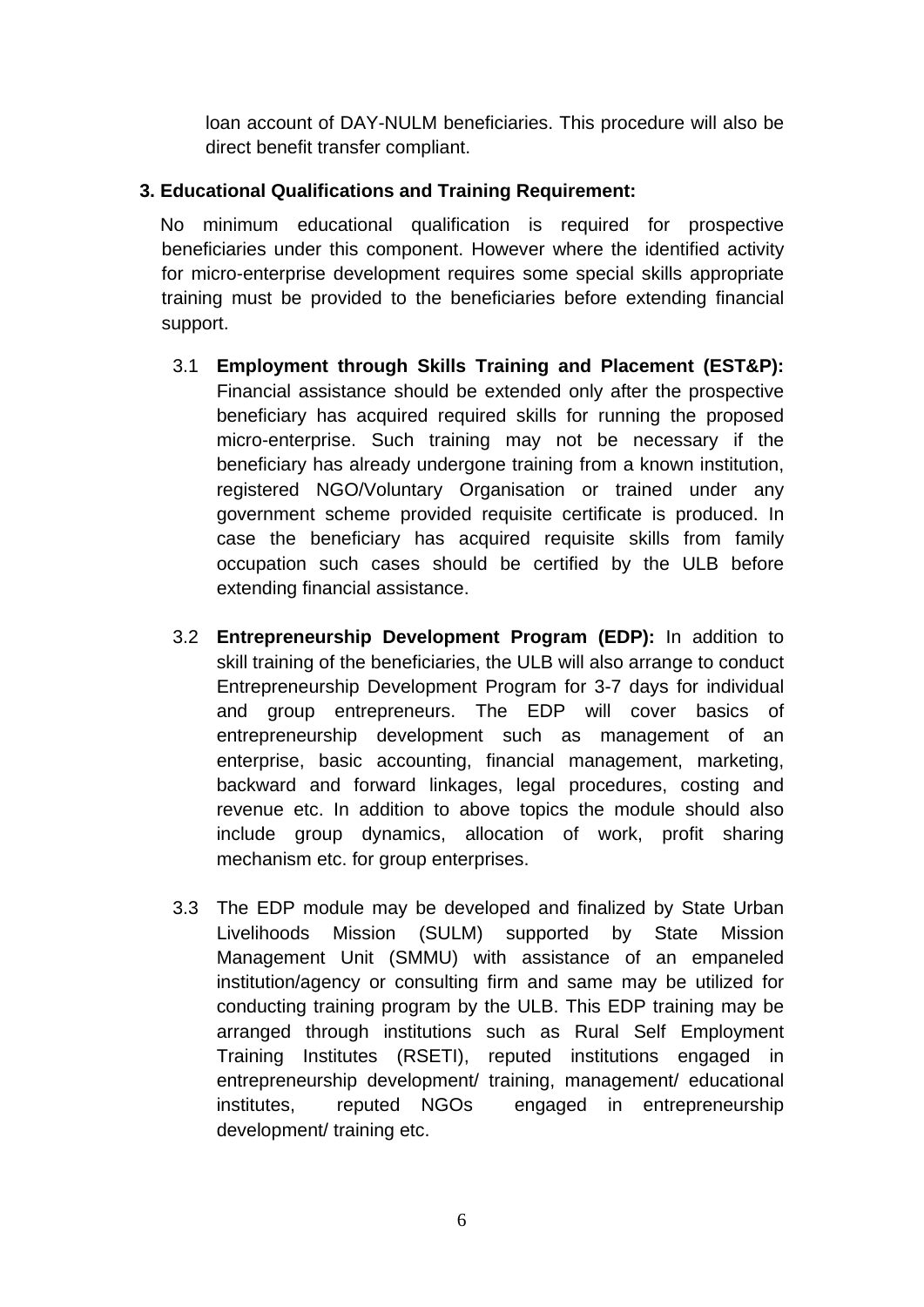loan account of DAY-NULM beneficiaries. This procedure will also be direct benefit transfer compliant.

## **3. Educational Qualifications and Training Requirement:**

No minimum educational qualification is required for prospective beneficiaries under this component. However where the identified activity for micro-enterprise development requires some special skills appropriate training must be provided to the beneficiaries before extending financial support.

- 3.1 **Employment through Skills Training and Placement (EST&P):** Financial assistance should be extended only after the prospective beneficiary has acquired required skills for running the proposed micro-enterprise. Such training may not be necessary if the beneficiary has already undergone training from a known institution, registered NGO/Voluntary Organisation or trained under any government scheme provided requisite certificate is produced. In case the beneficiary has acquired requisite skills from family occupation such cases should be certified by the ULB before extending financial assistance.
- 3.2 **Entrepreneurship Development Program (EDP):** In addition to skill training of the beneficiaries, the ULB will also arrange to conduct Entrepreneurship Development Program for 3-7 days for individual and group entrepreneurs. The EDP will cover basics of entrepreneurship development such as management of an enterprise, basic accounting, financial management, marketing, backward and forward linkages, legal procedures, costing and revenue etc. In addition to above topics the module should also include group dynamics, allocation of work, profit sharing mechanism etc. for group enterprises.
- 3.3 The EDP module may be developed and finalized by State Urban Livelihoods Mission (SULM) supported by State Mission Management Unit (SMMU) with assistance of an empaneled institution/agency or consulting firm and same may be utilized for conducting training program by the ULB. This EDP training may be arranged through institutions such as Rural Self Employment Training Institutes (RSETI), reputed institutions engaged in entrepreneurship development/ training, management/ educational institutes, reputed NGOs engaged in entrepreneurship development/ training etc.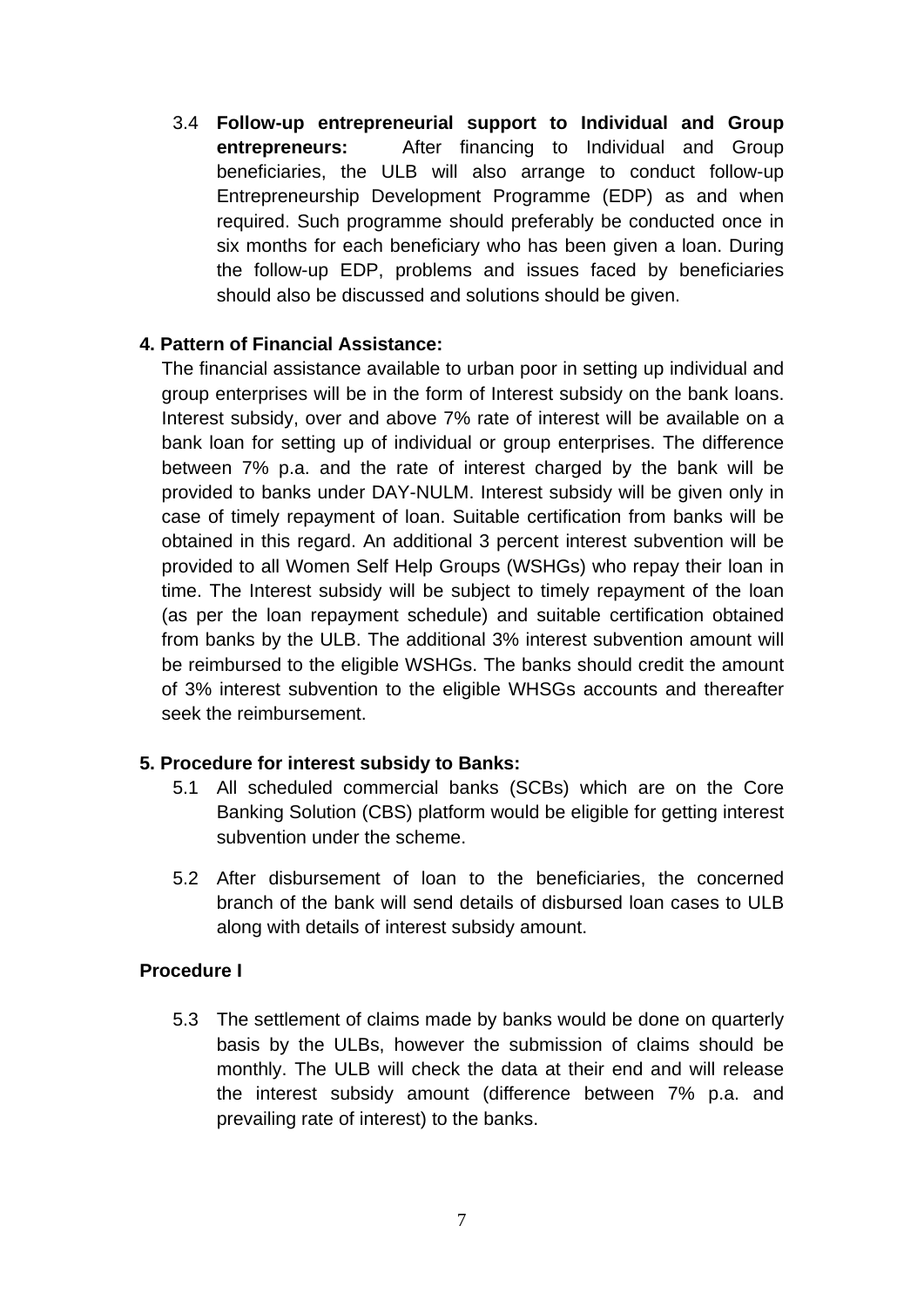3.4 **Follow-up entrepreneurial support to Individual and Group entrepreneurs:** After financing to Individual and Group beneficiaries, the ULB will also arrange to conduct follow-up Entrepreneurship Development Programme (EDP) as and when required. Such programme should preferably be conducted once in six months for each beneficiary who has been given a loan. During the follow-up EDP, problems and issues faced by beneficiaries should also be discussed and solutions should be given.

#### **4. Pattern of Financial Assistance:**

The financial assistance available to urban poor in setting up individual and group enterprises will be in the form of Interest subsidy on the bank loans. Interest subsidy, over and above 7% rate of interest will be available on a bank loan for setting up of individual or group enterprises. The difference between 7% p.a. and the rate of interest charged by the bank will be provided to banks under DAY-NULM. Interest subsidy will be given only in case of timely repayment of loan. Suitable certification from banks will be obtained in this regard. An additional 3 percent interest subvention will be provided to all Women Self Help Groups (WSHGs) who repay their loan in time. The Interest subsidy will be subject to timely repayment of the loan (as per the loan repayment schedule) and suitable certification obtained from banks by the ULB. The additional 3% interest subvention amount will be reimbursed to the eligible WSHGs. The banks should credit the amount of 3% interest subvention to the eligible WHSGs accounts and thereafter seek the reimbursement.

#### **5. Procedure for interest subsidy to Banks:**

- 5.1 All scheduled commercial banks (SCBs) which are on the Core Banking Solution (CBS) platform would be eligible for getting interest subvention under the scheme.
- 5.2 After disbursement of loan to the beneficiaries, the concerned branch of the bank will send details of disbursed loan cases to ULB along with details of interest subsidy amount.

#### **Procedure I**

5.3 The settlement of claims made by banks would be done on quarterly basis by the ULBs, however the submission of claims should be monthly. The ULB will check the data at their end and will release the interest subsidy amount (difference between 7% p.a. and prevailing rate of interest) to the banks.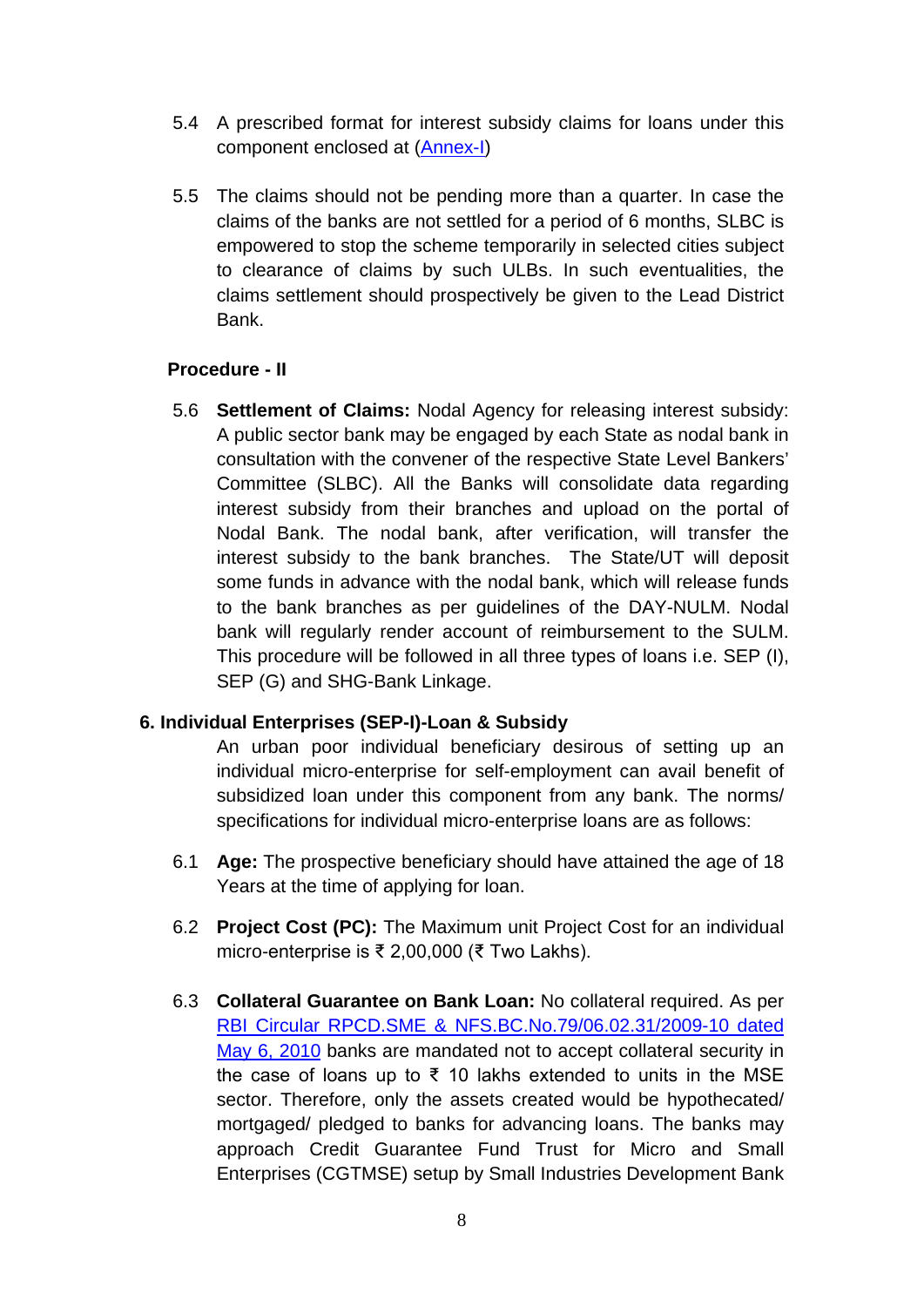- 5.4 A prescribed format for interest subsidy claims for loans under this component enclosed at [\(Annex-I\)](#page-15-0)
- 5.5 The claims should not be pending more than a quarter. In case the claims of the banks are not settled for a period of 6 months, SLBC is empowered to stop the scheme temporarily in selected cities subject to clearance of claims by such ULBs. In such eventualities, the claims settlement should prospectively be given to the Lead District Bank.

#### **Procedure - II**

5.6 **Settlement of Claims:** Nodal Agency for releasing interest subsidy: A public sector bank may be engaged by each State as nodal bank in consultation with the convener of the respective State Level Bankers' Committee (SLBC). All the Banks will consolidate data regarding interest subsidy from their branches and upload on the portal of Nodal Bank. The nodal bank, after verification, will transfer the interest subsidy to the bank branches. The State/UT will deposit some funds in advance with the nodal bank, which will release funds to the bank branches as per guidelines of the DAY-NULM. Nodal bank will regularly render account of reimbursement to the SULM. This procedure will be followed in all three types of loans i.e. SEP (I), SEP (G) and SHG-Bank Linkage.

## **6. Individual Enterprises (SEP-I)-Loan & Subsidy**

An urban poor individual beneficiary desirous of setting up an individual micro-enterprise for self-employment can avail benefit of subsidized loan under this component from any bank. The norms/ specifications for individual micro-enterprise loans are as follows:

- 6.1 **Age:** The prospective beneficiary should have attained the age of 18 Years at the time of applying for loan.
- 6.2 **Project Cost (PC):** The Maximum unit Project Cost for an individual micro-enterprise is ₹ 2,00,000 (₹ Two Lakhs).
- 6.3 **Collateral Guarantee on Bank Loan:** No collateral required. As per [RBI Circular RPCD.SME & NFS.BC.No.79/06.02.31/2009-10 dated](https://www.rbi.org.in/Scripts/NotificationUser.aspx?Id=5657&Mode=0)  [May 6, 2010](https://www.rbi.org.in/Scripts/NotificationUser.aspx?Id=5657&Mode=0) banks are mandated not to accept collateral security in the case of loans up to ₹ 10 lakhs extended to units in the MSE sector. Therefore, only the assets created would be hypothecated/ mortgaged/ pledged to banks for advancing loans. The banks may approach Credit Guarantee Fund Trust for Micro and Small Enterprises (CGTMSE) setup by Small Industries Development Bank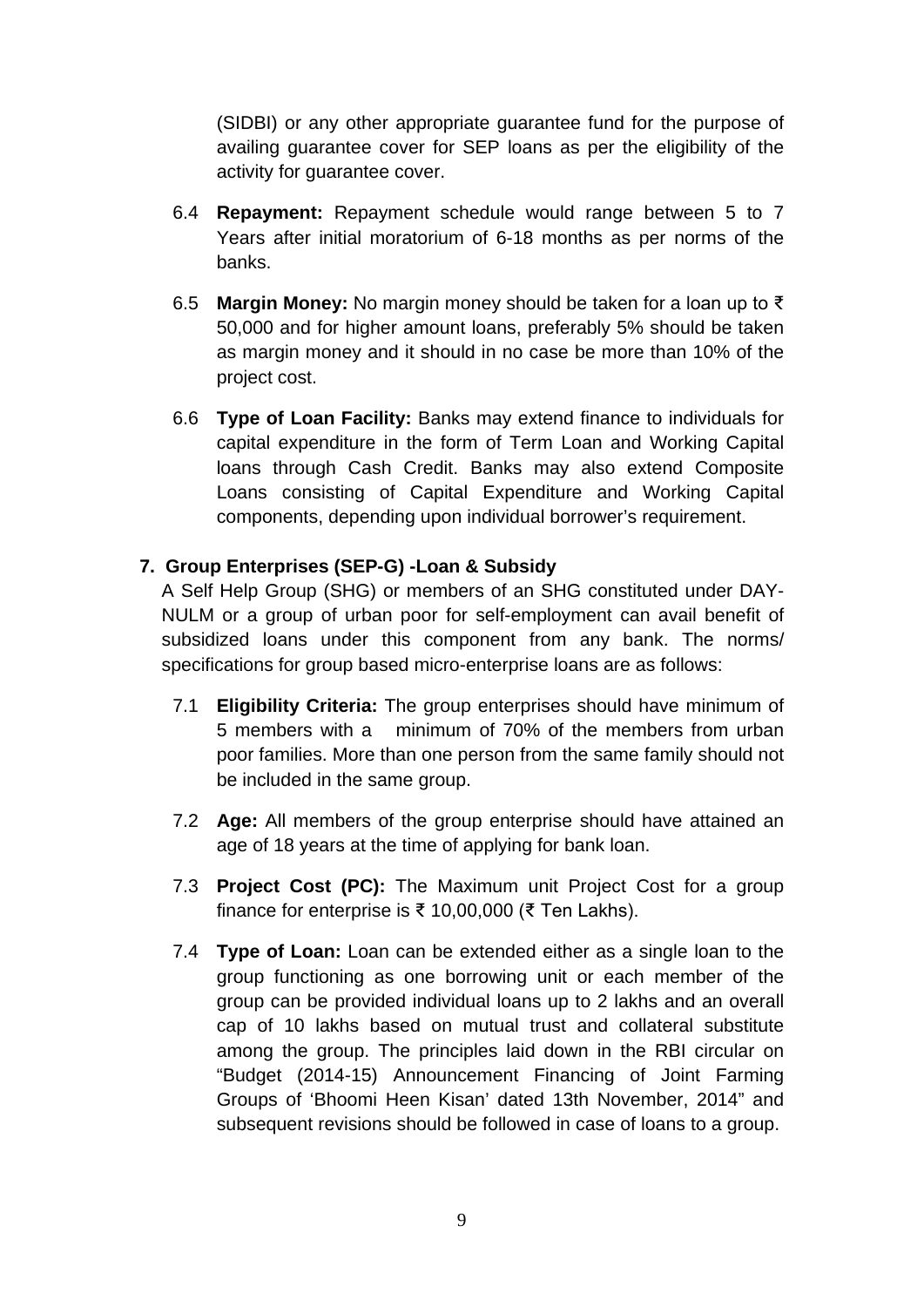(SIDBI) or any other appropriate guarantee fund for the purpose of availing guarantee cover for SEP loans as per the eligibility of the activity for guarantee cover.

- 6.4 **Repayment:** Repayment schedule would range between 5 to 7 Years after initial moratorium of 6-18 months as per norms of the banks.
- 6.5 **Margin Money:** No margin money should be taken for a loan up to ₹ 50,000 and for higher amount loans, preferably 5% should be taken as margin money and it should in no case be more than 10% of the project cost.
- 6.6 **Type of Loan Facility:** Banks may extend finance to individuals for capital expenditure in the form of Term Loan and Working Capital loans through Cash Credit. Banks may also extend Composite Loans consisting of Capital Expenditure and Working Capital components, depending upon individual borrower's requirement.

## **7. Group Enterprises (SEP-G) -Loan & Subsidy**

A Self Help Group (SHG) or members of an SHG constituted under DAY-NULM or a group of urban poor for self-employment can avail benefit of subsidized loans under this component from any bank. The norms/ specifications for group based micro-enterprise loans are as follows:

- 7.1 **Eligibility Criteria:** The group enterprises should have minimum of 5 members with a minimum of 70% of the members from urban poor families. More than one person from the same family should not be included in the same group.
- 7.2 **Age:** All members of the group enterprise should have attained an age of 18 years at the time of applying for bank loan.
- 7.3 **Project Cost (PC):** The Maximum unit Project Cost for a group finance for enterprise is ₹ 10,00,000 (₹ Ten Lakhs).
- 7.4 **Type of Loan:** Loan can be extended either as a single loan to the group functioning as one borrowing unit or each member of the group can be provided individual loans up to 2 lakhs and an overall cap of 10 lakhs based on mutual trust and collateral substitute among the group. The principles laid down in the RBI circular on "Budget (2014-15) Announcement Financing of Joint Farming Groups of 'Bhoomi Heen Kisan' dated 13th November, 2014" and subsequent revisions should be followed in case of loans to a group.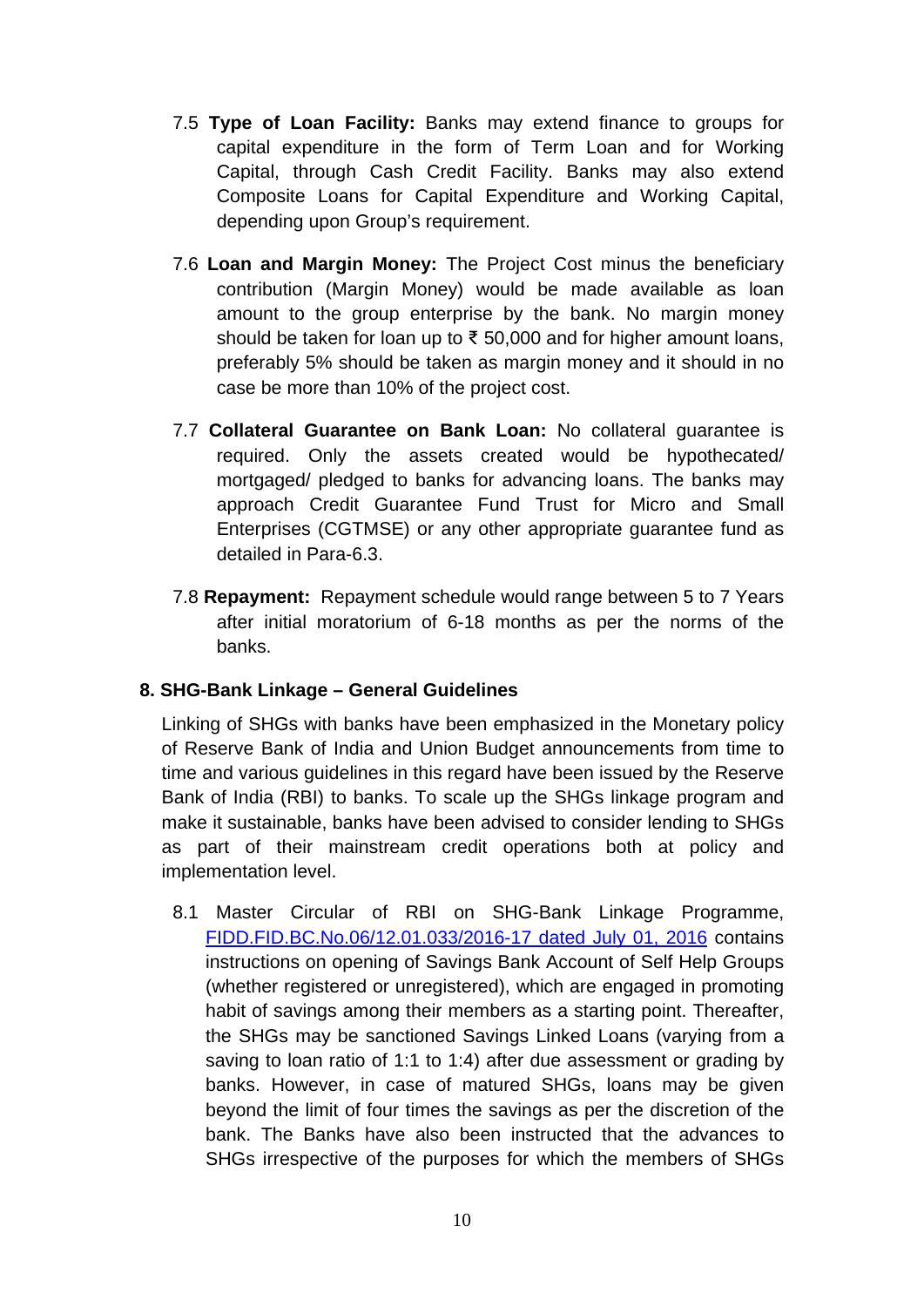- 7.5 **Type of Loan Facility:** Banks may extend finance to groups for capital expenditure in the form of Term Loan and for Working Capital, through Cash Credit Facility. Banks may also extend Composite Loans for Capital Expenditure and Working Capital, depending upon Group's requirement.
- 7.6 **Loan and Margin Money:** The Project Cost minus the beneficiary contribution (Margin Money) would be made available as loan amount to the group enterprise by the bank. No margin money should be taken for loan up to ₹ 50,000 and for higher amount loans, preferably 5% should be taken as margin money and it should in no case be more than 10% of the project cost.
- 7.7 **Collateral Guarantee on Bank Loan:** No collateral guarantee is required. Only the assets created would be hypothecated/ mortgaged/ pledged to banks for advancing loans. The banks may approach Credit Guarantee Fund Trust for Micro and Small Enterprises (CGTMSE) or any other appropriate guarantee fund as detailed in Para-6.3.
- 7.8 **Repayment:** Repayment schedule would range between 5 to 7 Years after initial moratorium of 6-18 months as per the norms of the banks.

## **8. SHG-Bank Linkage – General Guidelines**

Linking of SHGs with banks have been emphasized in the Monetary policy of Reserve Bank of India and Union Budget announcements from time to time and various guidelines in this regard have been issued by the Reserve Bank of India (RBI) to banks. To scale up the SHGs linkage program and make it sustainable, banks have been advised to consider lending to SHGs as part of their mainstream credit operations both at policy and implementation level.

8.1 Master Circular of RBI on SHG-Bank Linkage Programme, [FIDD.FID.BC.No.06/12.01.033/2016-17](https://www.rbi.org.in/Scripts/NotificationUser.aspx?Id=10490&Mode=0) dated July 01, 2016 contains instructions on opening of Savings Bank Account of Self Help Groups (whether registered or unregistered), which are engaged in promoting habit of savings among their members as a starting point. Thereafter, the SHGs may be sanctioned Savings Linked Loans (varying from a saving to loan ratio of 1:1 to 1:4) after due assessment or grading by banks. However, in case of matured SHGs, loans may be given beyond the limit of four times the savings as per the discretion of the bank. The Banks have also been instructed that the advances to SHGs irrespective of the purposes for which the members of SHGs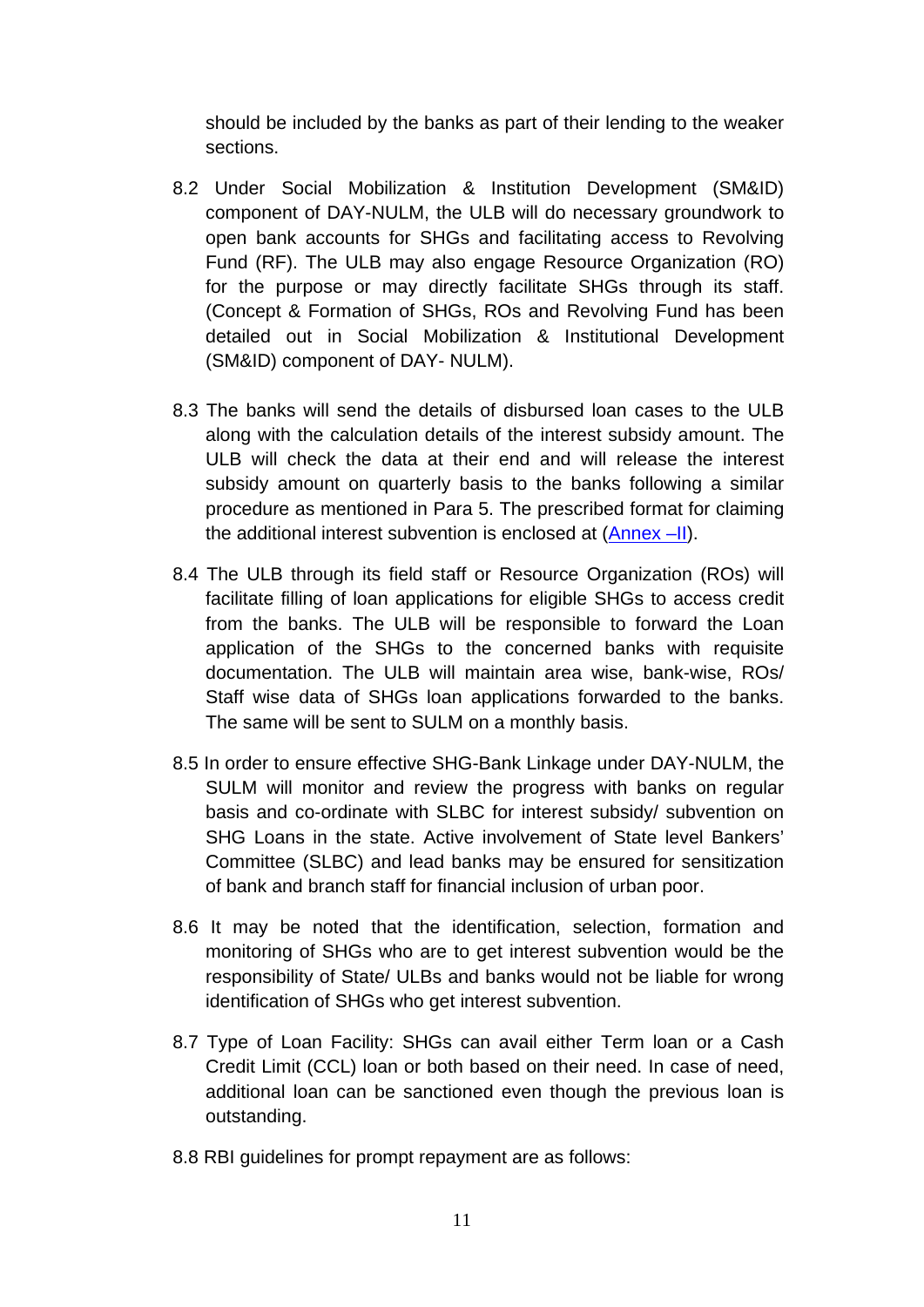should be included by the banks as part of their lending to the weaker sections.

- 8.2 Under Social Mobilization & Institution Development (SM&ID) component of DAY-NULM, the ULB will do necessary groundwork to open bank accounts for SHGs and facilitating access to Revolving Fund (RF). The ULB may also engage Resource Organization (RO) for the purpose or may directly facilitate SHGs through its staff. (Concept & Formation of SHGs, ROs and Revolving Fund has been detailed out in Social Mobilization & Institutional Development (SM&ID) component of DAY- NULM).
- 8.3 The banks will send the details of disbursed loan cases to the ULB along with the calculation details of the interest subsidy amount. The ULB will check the data at their end and will release the interest subsidy amount on quarterly basis to the banks following a similar procedure as mentioned in Para 5. The prescribed format for claiming the additional interest subvention is enclosed at [\(Annex –II\)](#page-17-0).
- 8.4 The ULB through its field staff or Resource Organization (ROs) will facilitate filling of loan applications for eligible SHGs to access credit from the banks. The ULB will be responsible to forward the Loan application of the SHGs to the concerned banks with requisite documentation. The ULB will maintain area wise, bank-wise, ROs/ Staff wise data of SHGs loan applications forwarded to the banks. The same will be sent to SULM on a monthly basis.
- 8.5 In order to ensure effective SHG-Bank Linkage under DAY-NULM, the SULM will monitor and review the progress with banks on regular basis and co-ordinate with SLBC for interest subsidy/ subvention on SHG Loans in the state. Active involvement of State level Bankers' Committee (SLBC) and lead banks may be ensured for sensitization of bank and branch staff for financial inclusion of urban poor.
- 8.6 It may be noted that the identification, selection, formation and monitoring of SHGs who are to get interest subvention would be the responsibility of State/ ULBs and banks would not be liable for wrong identification of SHGs who get interest subvention.
- 8.7 Type of Loan Facility: SHGs can avail either Term loan or a Cash Credit Limit (CCL) loan or both based on their need. In case of need, additional loan can be sanctioned even though the previous loan is outstanding.
- 8.8 RBI guidelines for prompt repayment are as follows: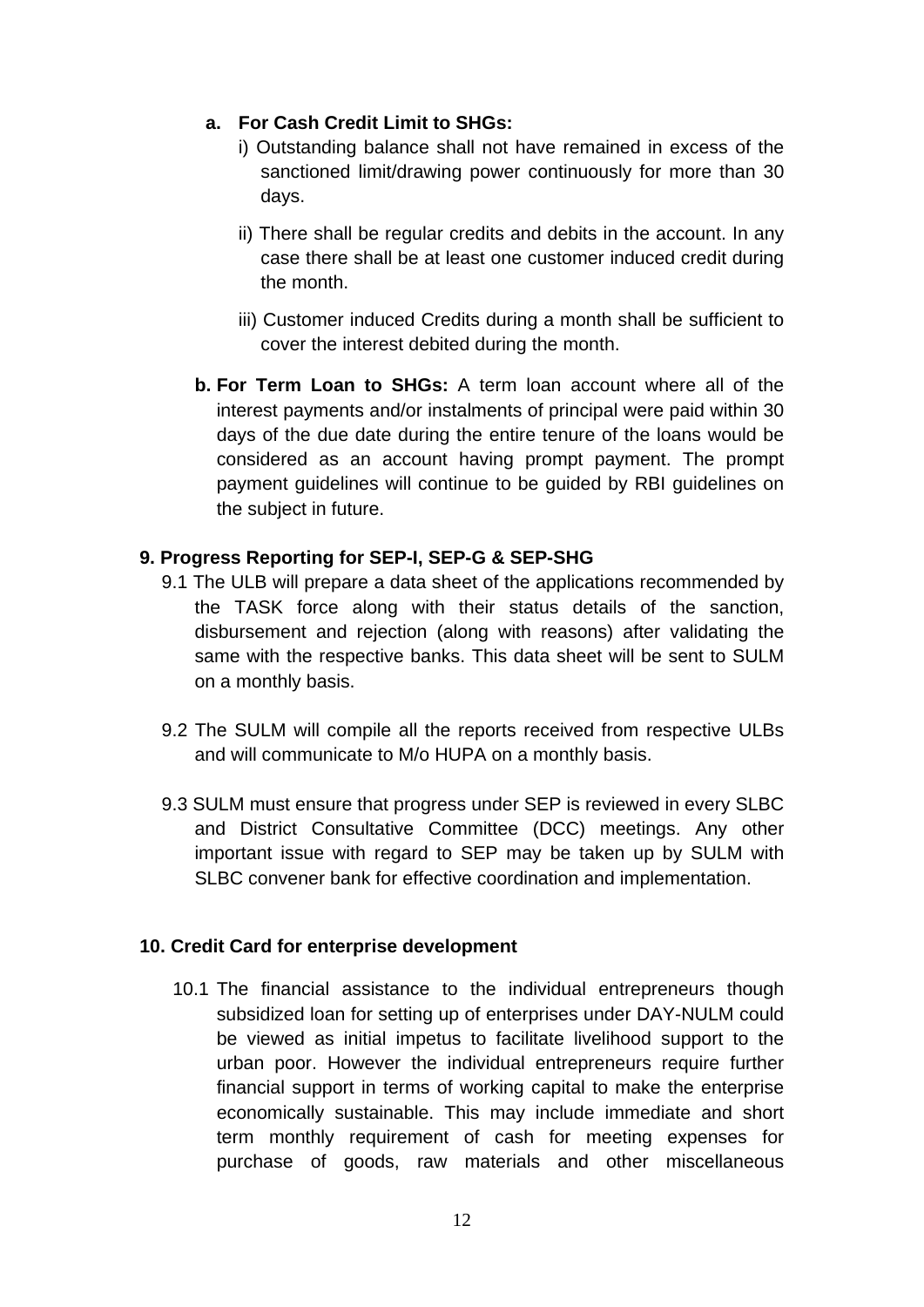## **a. For Cash Credit Limit to SHGs:**

- i) Outstanding balance shall not have remained in excess of the sanctioned limit/drawing power continuously for more than 30 days.
- ii) There shall be regular credits and debits in the account. In any case there shall be at least one customer induced credit during the month.
- iii) Customer induced Credits during a month shall be sufficient to cover the interest debited during the month.
- **b. For Term Loan to SHGs:** A term loan account where all of the interest payments and/or instalments of principal were paid within 30 days of the due date during the entire tenure of the loans would be considered as an account having prompt payment. The prompt payment guidelines will continue to be guided by RBI guidelines on the subject in future.

## **9. Progress Reporting for SEP-I, SEP-G & SEP-SHG**

- 9.1 The ULB will prepare a data sheet of the applications recommended by the TASK force along with their status details of the sanction, disbursement and rejection (along with reasons) after validating the same with the respective banks. This data sheet will be sent to SULM on a monthly basis.
- 9.2 The SULM will compile all the reports received from respective ULBs and will communicate to M/o HUPA on a monthly basis.
- 9.3 SULM must ensure that progress under SEP is reviewed in every SLBC and District Consultative Committee (DCC) meetings. Any other important issue with regard to SEP may be taken up by SULM with SLBC convener bank for effective coordination and implementation.

## **10. Credit Card for enterprise development**

10.1 The financial assistance to the individual entrepreneurs though subsidized loan for setting up of enterprises under DAY-NULM could be viewed as initial impetus to facilitate livelihood support to the urban poor. However the individual entrepreneurs require further financial support in terms of working capital to make the enterprise economically sustainable. This may include immediate and short term monthly requirement of cash for meeting expenses for purchase of goods, raw materials and other miscellaneous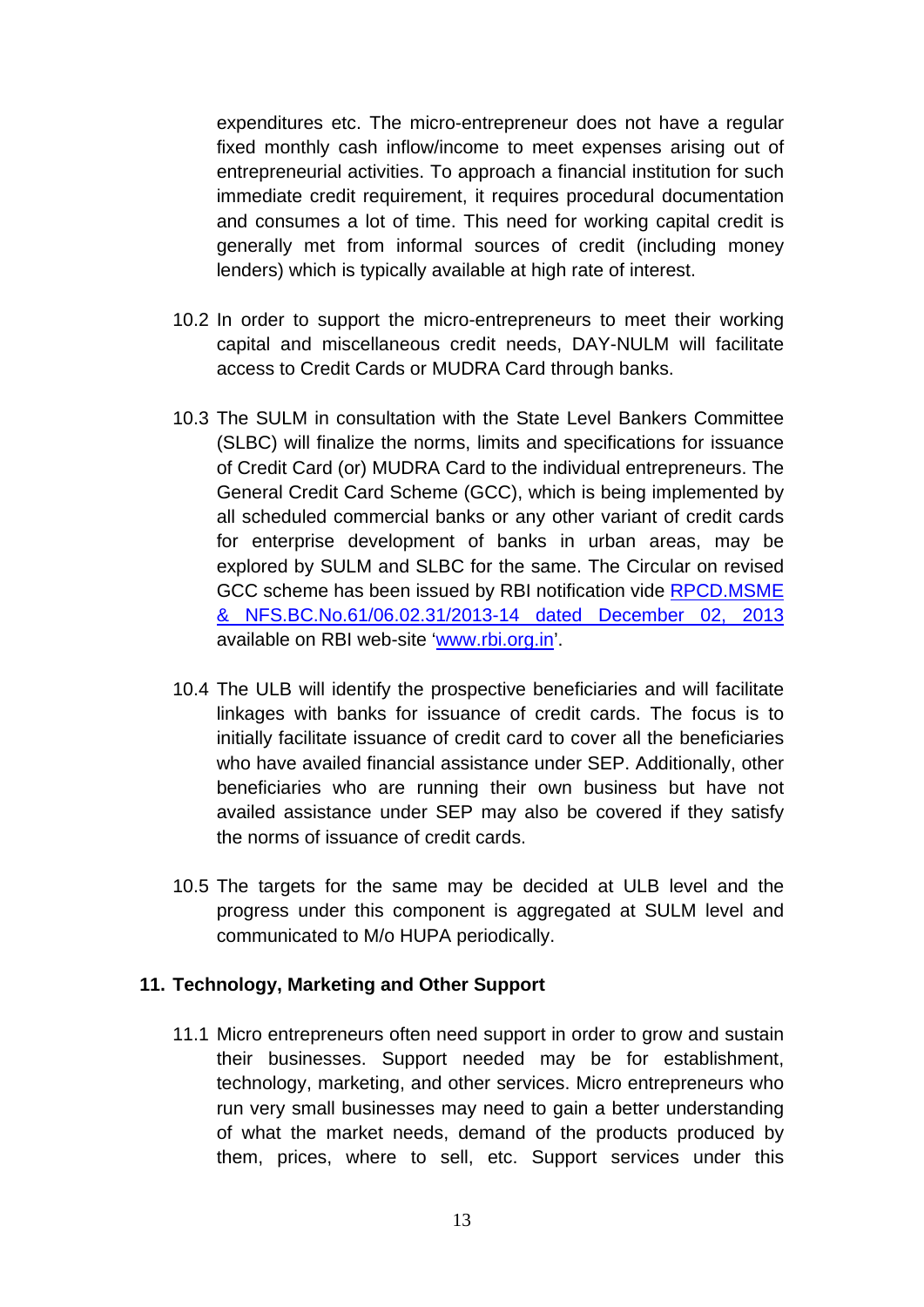expenditures etc. The micro-entrepreneur does not have a regular fixed monthly cash inflow/income to meet expenses arising out of entrepreneurial activities. To approach a financial institution for such immediate credit requirement, it requires procedural documentation and consumes a lot of time. This need for working capital credit is generally met from informal sources of credit (including money lenders) which is typically available at high rate of interest.

- 10.2 In order to support the micro-entrepreneurs to meet their working capital and miscellaneous credit needs, DAY-NULM will facilitate access to Credit Cards or MUDRA Card through banks.
- 10.3 The SULM in consultation with the State Level Bankers Committee (SLBC) will finalize the norms, limits and specifications for issuance of Credit Card (or) MUDRA Card to the individual entrepreneurs. The General Credit Card Scheme (GCC), which is being implemented by all scheduled commercial banks or any other variant of credit cards for enterprise development of banks in urban areas, may be explored by SULM and SLBC for the same. The Circular on revised GCC scheme has been issued by RBI notification vide [RPCD.MSME](https://www.rbi.org.in/Scripts/NotificationUser.aspx?Id=8603&Mode=0) [& NFS.BC.No.61/06.02.31/2013-14 dated December 02, 2013](https://www.rbi.org.in/Scripts/NotificationUser.aspx?Id=8603&Mode=0) available on RBI web-site ['www.rbi.org.in'](https://www.rbi.org.in/).
- 10.4 The ULB will identify the prospective beneficiaries and will facilitate linkages with banks for issuance of credit cards. The focus is to initially facilitate issuance of credit card to cover all the beneficiaries who have availed financial assistance under SEP. Additionally, other beneficiaries who are running their own business but have not availed assistance under SEP may also be covered if they satisfy the norms of issuance of credit cards.
- 10.5 The targets for the same may be decided at ULB level and the progress under this component is aggregated at SULM level and communicated to M/o HUPA periodically.

#### **11. Technology, Marketing and Other Support**

11.1 Micro entrepreneurs often need support in order to grow and sustain their businesses. Support needed may be for establishment, technology, marketing, and other services. Micro entrepreneurs who run very small businesses may need to gain a better understanding of what the market needs, demand of the products produced by them, prices, where to sell, etc. Support services under this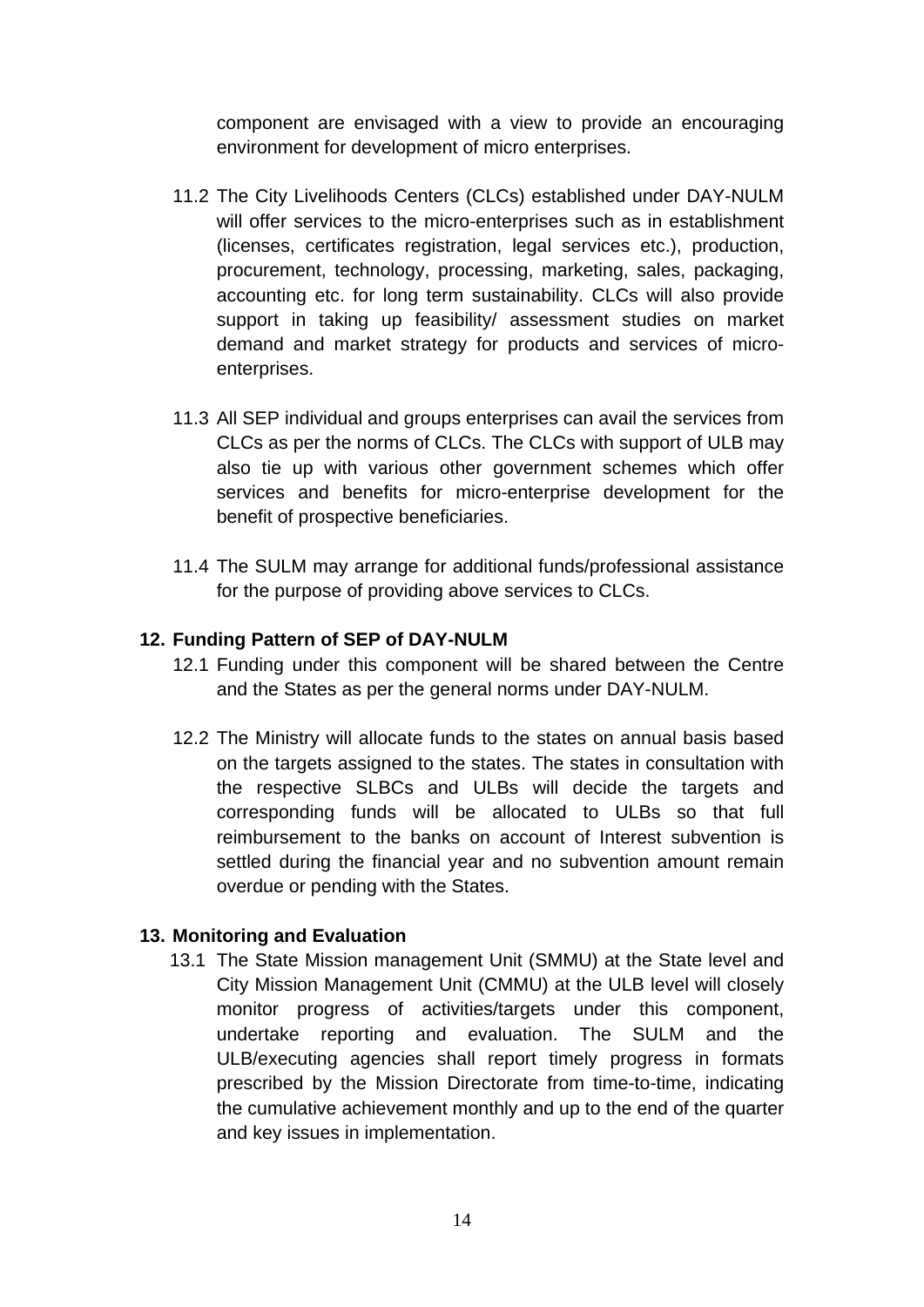component are envisaged with a view to provide an encouraging environment for development of micro enterprises.

- 11.2 The City Livelihoods Centers (CLCs) established under DAY-NULM will offer services to the micro-enterprises such as in establishment (licenses, certificates registration, legal services etc.), production, procurement, technology, processing, marketing, sales, packaging, accounting etc. for long term sustainability. CLCs will also provide support in taking up feasibility/ assessment studies on market demand and market strategy for products and services of microenterprises.
- 11.3 All SEP individual and groups enterprises can avail the services from CLCs as per the norms of CLCs. The CLCs with support of ULB may also tie up with various other government schemes which offer services and benefits for micro-enterprise development for the benefit of prospective beneficiaries.
- 11.4 The SULM may arrange for additional funds/professional assistance for the purpose of providing above services to CLCs.

#### **12. Funding Pattern of SEP of DAY-NULM**

- 12.1 Funding under this component will be shared between the Centre and the States as per the general norms under DAY-NULM.
- 12.2 The Ministry will allocate funds to the states on annual basis based on the targets assigned to the states. The states in consultation with the respective SLBCs and ULBs will decide the targets and corresponding funds will be allocated to ULBs so that full reimbursement to the banks on account of Interest subvention is settled during the financial year and no subvention amount remain overdue or pending with the States.

#### **13. Monitoring and Evaluation**

13.1 The State Mission management Unit (SMMU) at the State level and City Mission Management Unit (CMMU) at the ULB level will closely monitor progress of activities/targets under this component, undertake reporting and evaluation. The SULM and the ULB/executing agencies shall report timely progress in formats prescribed by the Mission Directorate from time-to-time, indicating the cumulative achievement monthly and up to the end of the quarter and key issues in implementation.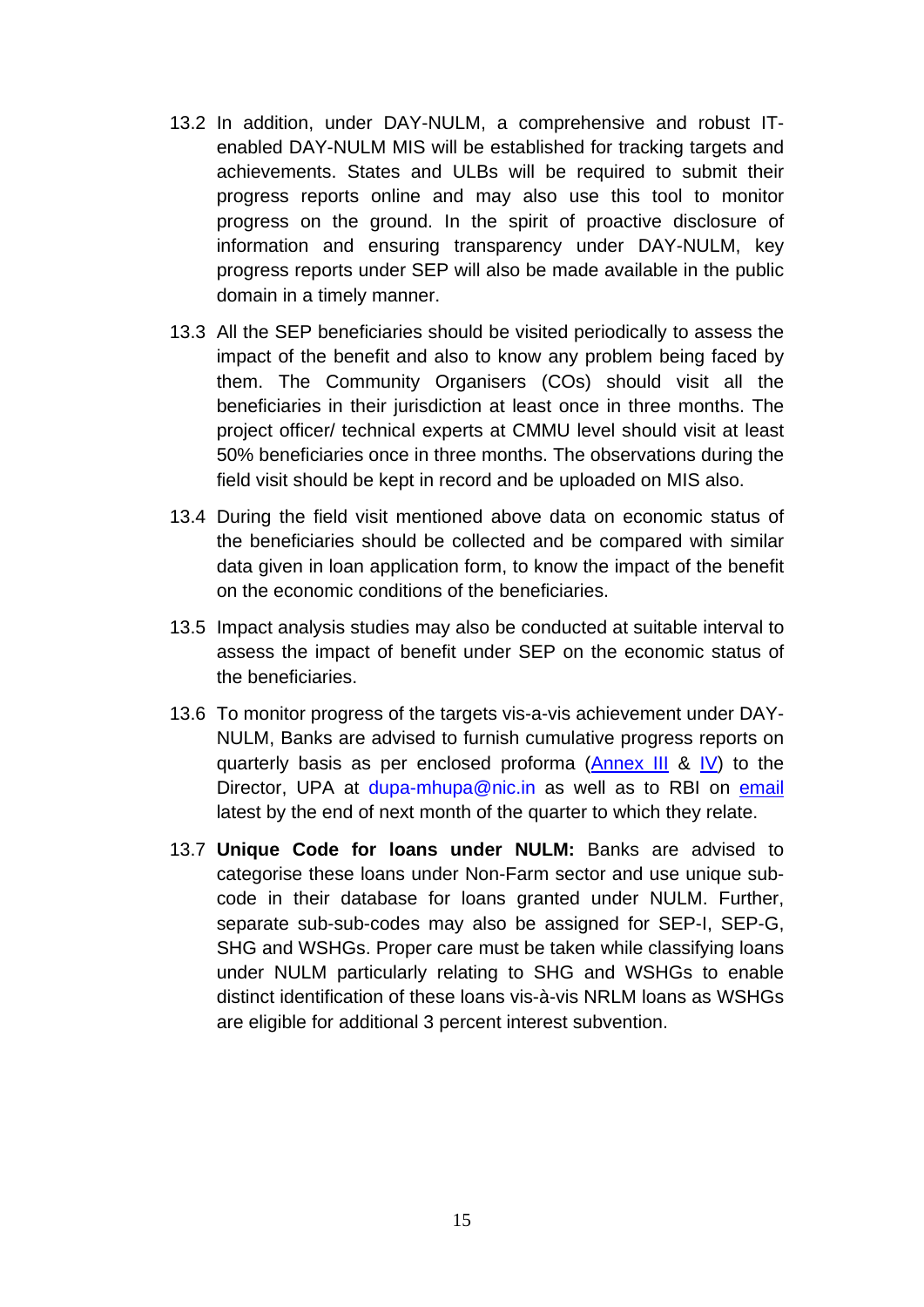- 13.2 In addition, under DAY-NULM, a comprehensive and robust ITenabled DAY-NULM MIS will be established for tracking targets and achievements. States and ULBs will be required to submit their progress reports online and may also use this tool to monitor progress on the ground. In the spirit of proactive disclosure of information and ensuring transparency under DAY-NULM, key progress reports under SEP will also be made available in the public domain in a timely manner.
- 13.3 All the SEP beneficiaries should be visited periodically to assess the impact of the benefit and also to know any problem being faced by them. The Community Organisers (COs) should visit all the beneficiaries in their jurisdiction at least once in three months. The project officer/ technical experts at CMMU level should visit at least 50% beneficiaries once in three months. The observations during the field visit should be kept in record and be uploaded on MIS also.
- 13.4 During the field visit mentioned above data on economic status of the beneficiaries should be collected and be compared with similar data given in loan application form, to know the impact of the benefit on the economic conditions of the beneficiaries.
- 13.5 Impact analysis studies may also be conducted at suitable interval to assess the impact of benefit under SEP on the economic status of the beneficiaries.
- 13.6 To monitor progress of the targets vis-a-vis achievement under DAY-NULM, Banks are advised to furnish cumulative progress reports on quarterly basis as per enclosed proforma [\(Annex III](#page-18-0) & [IV\)](#page-19-0) to the Director, UPA at [dupa-mhupa@nic.in](mailto:dupa-mhupa@nic.in) as well as to RBI on [email](mailto:nulmfidd@rbi.org.in) latest by the end of next month of the quarter to which they relate.
- 13.7 **Unique Code for loans under NULM:** Banks are advised to categorise these loans under Non-Farm sector and use unique subcode in their database for loans granted under NULM. Further, separate sub-sub-codes may also be assigned for SEP-I, SEP-G, SHG and WSHGs. Proper care must be taken while classifying loans under NULM particularly relating to SHG and WSHGs to enable distinct identification of these loans vis-à-vis NRLM loans as WSHGs are eligible for additional 3 percent interest subvention.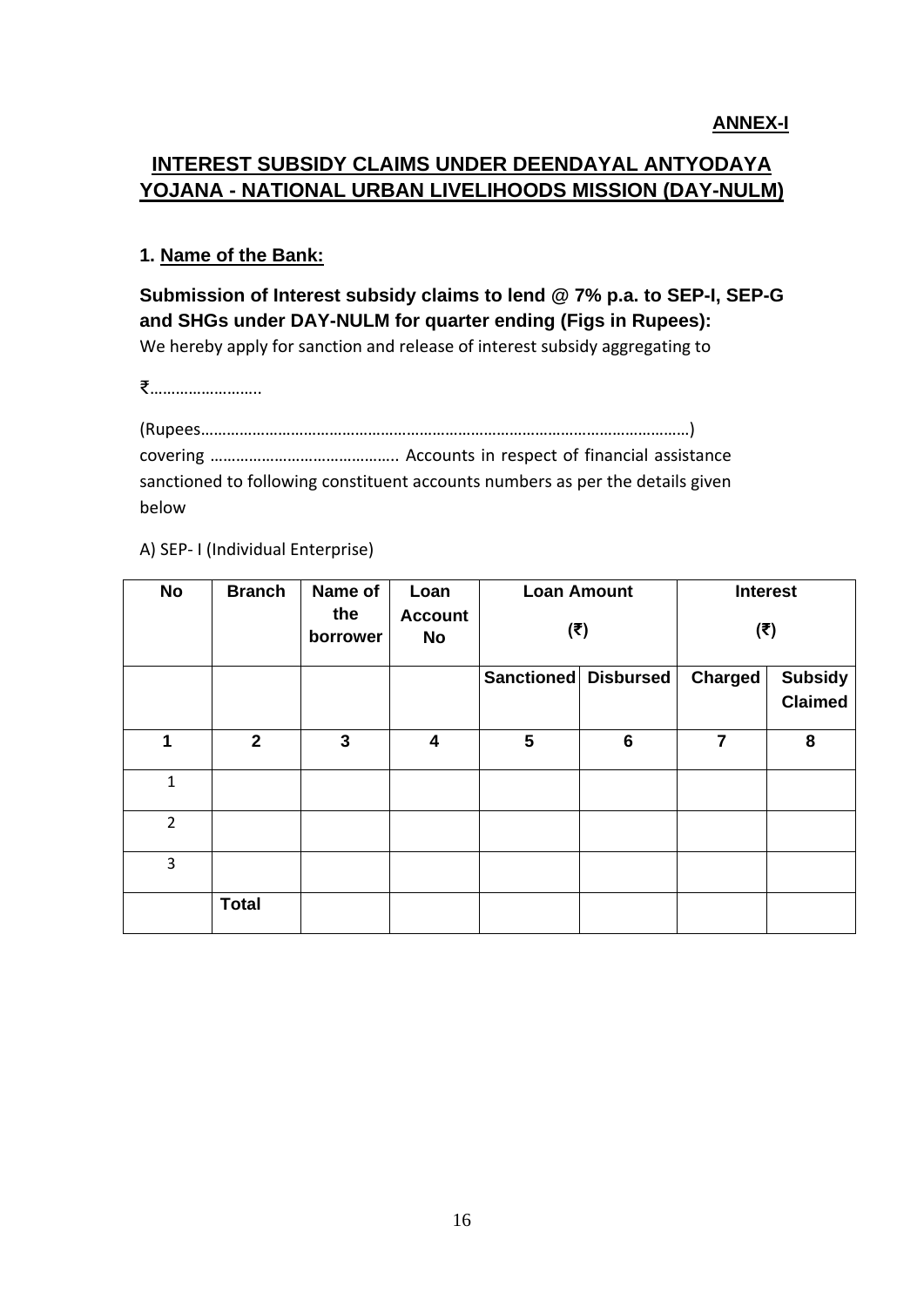# <span id="page-15-0"></span>**INTEREST SUBSIDY CLAIMS UNDER DEENDAYAL ANTYODAYA YOJANA - NATIONAL URBAN LIVELIHOODS MISSION (DAY-NULM)**

## **1. Name of the Bank:**

**Submission of Interest subsidy claims to lend @ 7% p.a. to SEP-I, SEP-G and SHGs under DAY-NULM for quarter ending (Figs in Rupees):**  We hereby apply for sanction and release of interest subsidy aggregating to

₹……………………..

(Rupees……………………………………………………………………………………………………) covering …………………………………….. Accounts in respect of financial assistance sanctioned to following constituent accounts numbers as per the details given below

A) SEP- I (Individual Enterprise)

| <b>No</b>      | <b>Branch</b>  | Name of<br>the<br>borrower | Loan<br><b>Account</b><br>No | <b>Loan Amount</b><br>(₹) |   | <b>Interest</b><br>$(\overline{\mathbf{t}})$ |                                  |
|----------------|----------------|----------------------------|------------------------------|---------------------------|---|----------------------------------------------|----------------------------------|
|                |                |                            |                              | Sanctioned Disbursed      |   | Charged                                      | <b>Subsidy</b><br><b>Claimed</b> |
| 1              | $\overline{2}$ | 3                          | 4                            | 5                         | 6 | 7                                            | 8                                |
| $\mathbf{1}$   |                |                            |                              |                           |   |                                              |                                  |
| $\overline{2}$ |                |                            |                              |                           |   |                                              |                                  |
| 3              |                |                            |                              |                           |   |                                              |                                  |
|                | <b>Total</b>   |                            |                              |                           |   |                                              |                                  |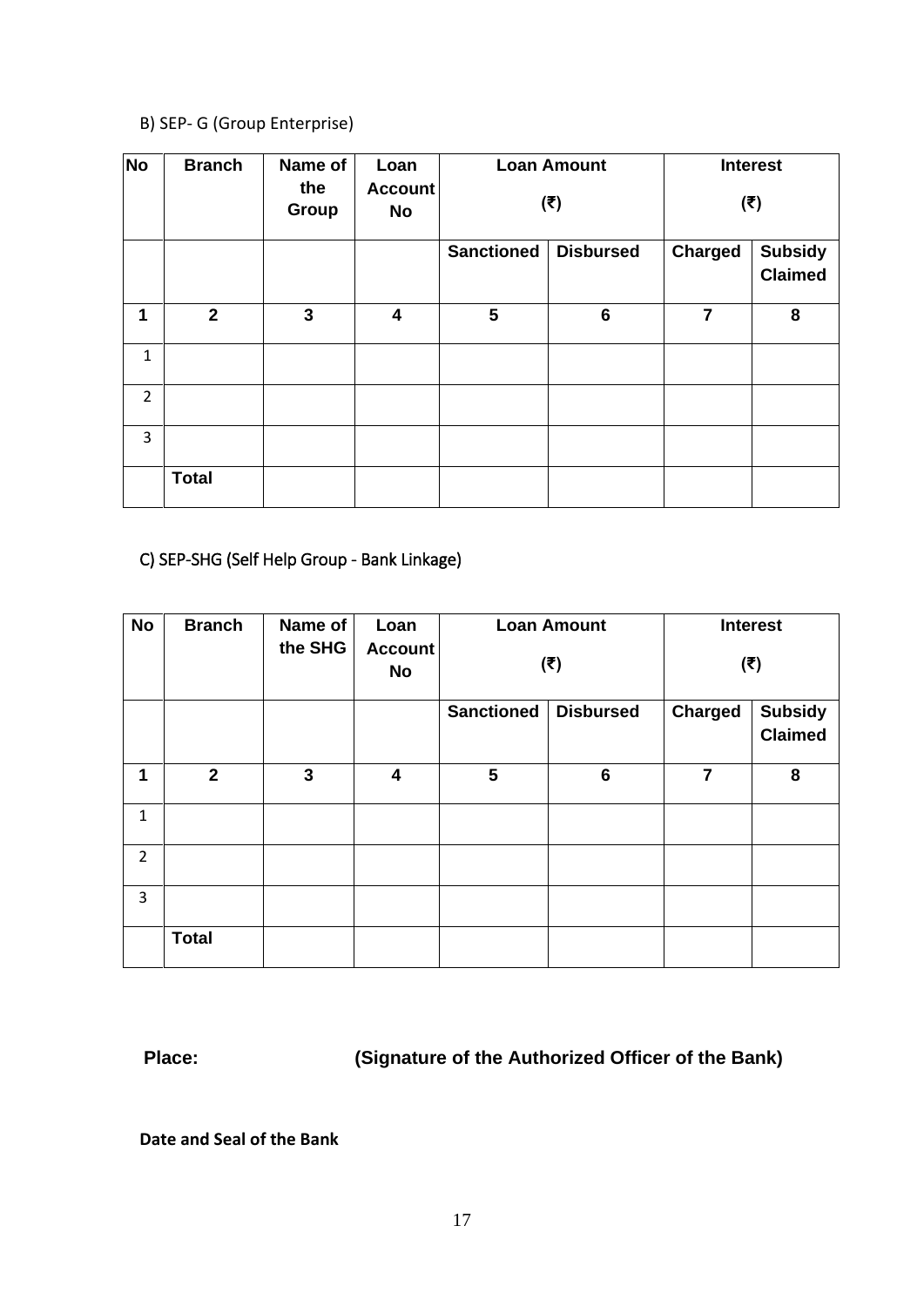## B) SEP- G (Group Enterprise)

| <b>No</b>      | <b>Branch</b>  | Name of<br>the<br>Group | Loan<br><b>Account</b><br>No |                                       | <b>Loan Amount</b><br>$(\overline{\mathbf{t}})$ |                | <b>Interest</b><br>$(\overline{\mathbf{t}})$ |
|----------------|----------------|-------------------------|------------------------------|---------------------------------------|-------------------------------------------------|----------------|----------------------------------------------|
|                |                |                         |                              | <b>Sanctioned</b><br><b>Disbursed</b> |                                                 | <b>Charged</b> | <b>Subsidy</b><br><b>Claimed</b>             |
| 1              | $\overline{2}$ | 3                       | $\overline{\mathbf{4}}$      | 5                                     | $6\phantom{1}6$                                 | $\overline{7}$ | 8                                            |
| $\mathbf{1}$   |                |                         |                              |                                       |                                                 |                |                                              |
| $\overline{2}$ |                |                         |                              |                                       |                                                 |                |                                              |
| $\overline{3}$ |                |                         |                              |                                       |                                                 |                |                                              |
|                | <b>Total</b>   |                         |                              |                                       |                                                 |                |                                              |

# C) SEP-SHG (Self Help Group - Bank Linkage)

| <b>No</b>      | <b>Branch</b>  | Name of      | Loan                 | <b>Loan Amount</b>                    | <b>Interest</b> |                           |                                  |  |  |
|----------------|----------------|--------------|----------------------|---------------------------------------|-----------------|---------------------------|----------------------------------|--|--|
|                |                | the SHG      | <b>Account</b><br>No |                                       | (₹)             | $(\overline{\mathbf{t}})$ |                                  |  |  |
|                |                |              |                      | <b>Sanctioned</b><br><b>Disbursed</b> |                 | <b>Charged</b>            | <b>Subsidy</b><br><b>Claimed</b> |  |  |
| 1              | $\overline{2}$ | $\mathbf{3}$ | 4                    | $5\phantom{1}$                        | $6\phantom{1}6$ | $\overline{7}$            | 8                                |  |  |
| 1              |                |              |                      |                                       |                 |                           |                                  |  |  |
| $\overline{2}$ |                |              |                      |                                       |                 |                           |                                  |  |  |
| 3              |                |              |                      |                                       |                 |                           |                                  |  |  |
|                | <b>Total</b>   |              |                      |                                       |                 |                           |                                  |  |  |

**Place: (Signature of the Authorized Officer of the Bank)** 

**Date and Seal of the Bank**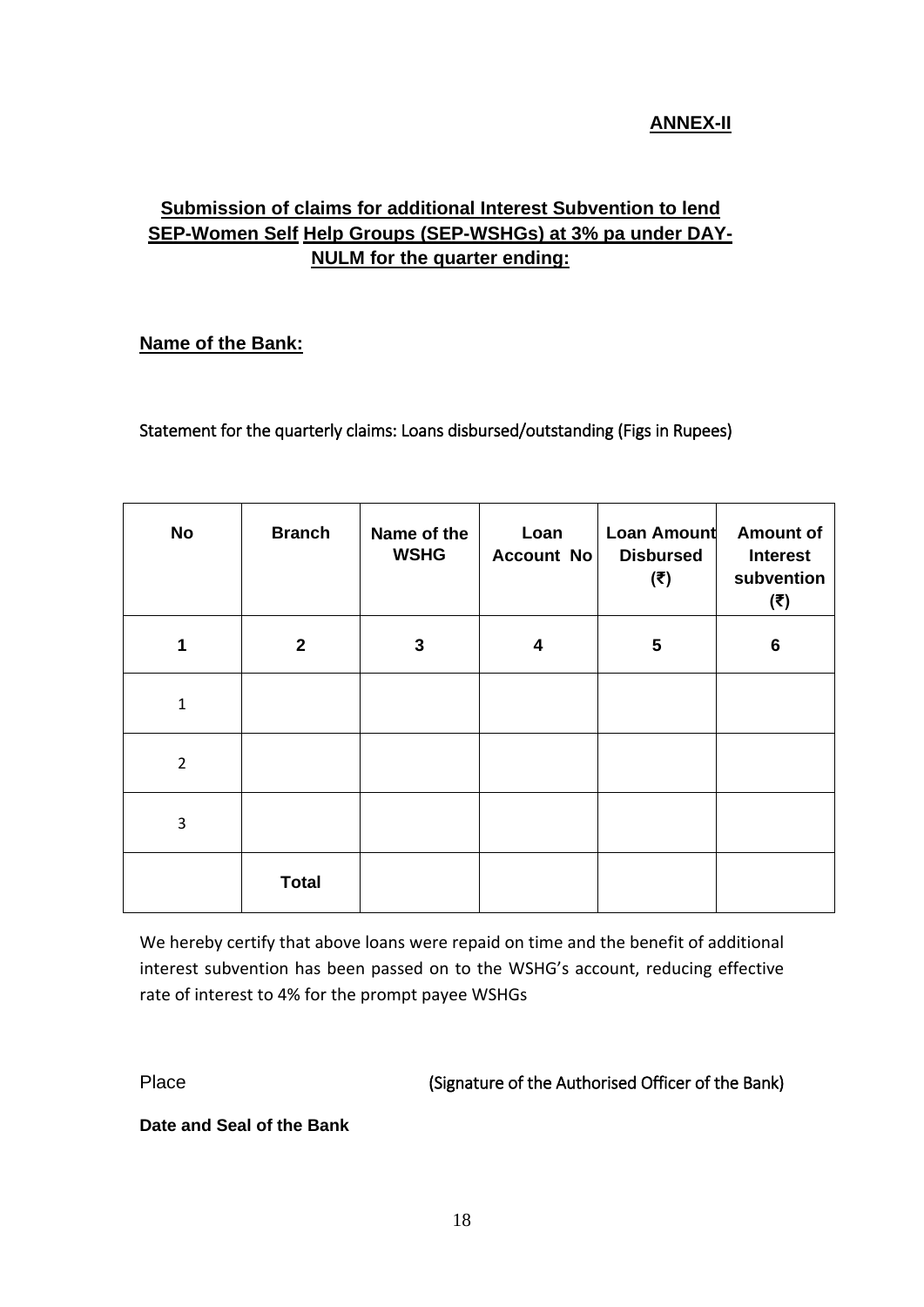# **ANNEX-II**

# <span id="page-17-0"></span>**Submission of claims for additional Interest Subvention to lend SEP-Women Self Help Groups (SEP-WSHGs) at 3% pa under DAY-NULM for the quarter ending:**

#### **Name of the Bank:**

Statement for the quarterly claims: Loans disbursed/outstanding (Figs in Rupees)

| No             | <b>Branch</b> | Name of the<br><b>WSHG</b> | Loan<br>Account No | <b>Loan Amount</b><br><b>Disbursed</b><br>$(\overline{\mathbf{t}})$ | <b>Amount of</b><br><b>Interest</b><br>subvention<br>$(\overline{\mathbf{t}})$ |
|----------------|---------------|----------------------------|--------------------|---------------------------------------------------------------------|--------------------------------------------------------------------------------|
| 1              | $\mathbf{2}$  | 3                          | 4                  | 5                                                                   | $6\phantom{1}6$                                                                |
| $\mathbf{1}$   |               |                            |                    |                                                                     |                                                                                |
| $\overline{2}$ |               |                            |                    |                                                                     |                                                                                |
| 3              |               |                            |                    |                                                                     |                                                                                |
|                | <b>Total</b>  |                            |                    |                                                                     |                                                                                |

We hereby certify that above loans were repaid on time and the benefit of additional interest subvention has been passed on to the WSHG's account, reducing effective rate of interest to 4% for the prompt payee WSHGs

Place (Signature of the Authorised Officer of the Bank)

**Date and Seal of the Bank**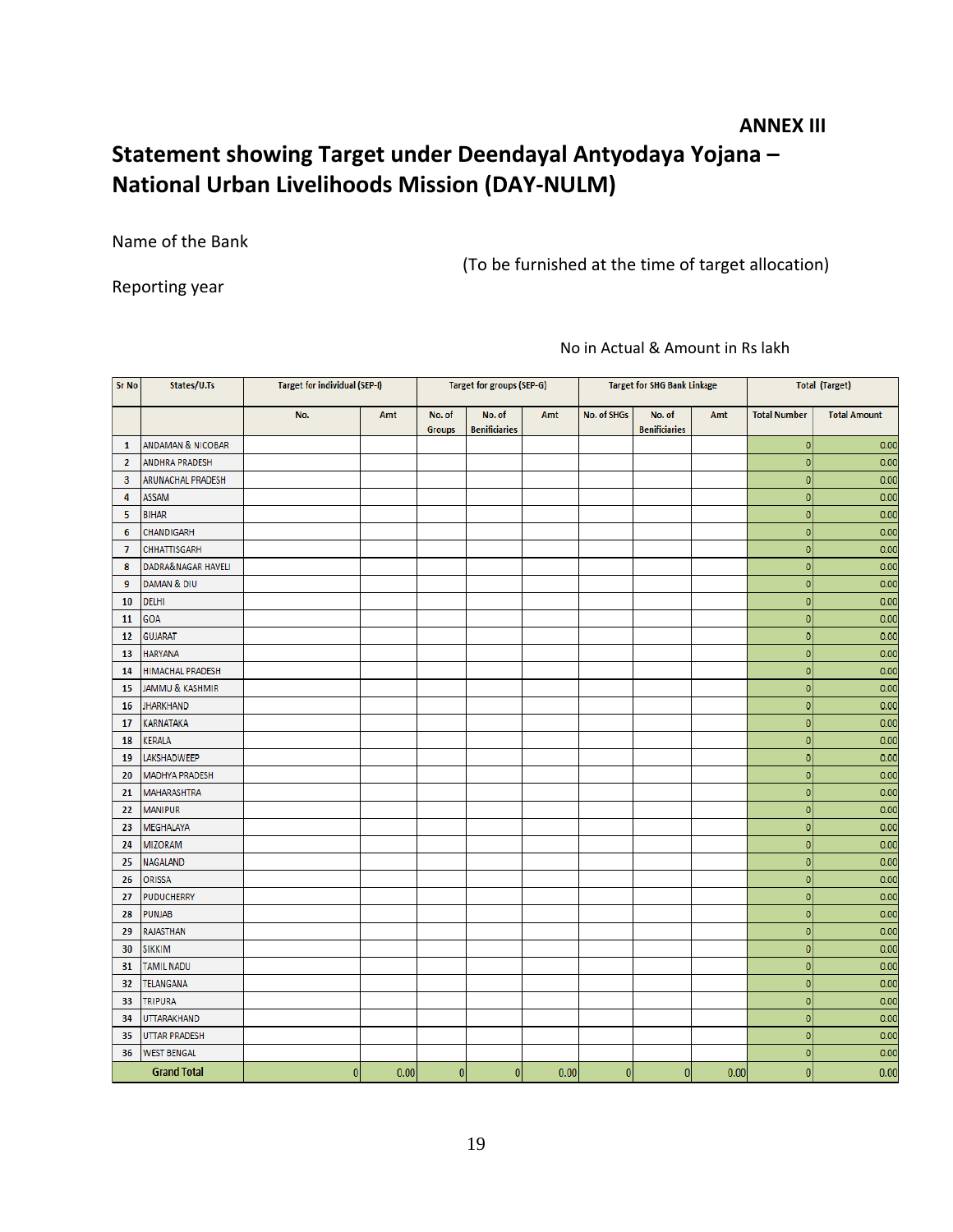#### <span id="page-18-0"></span> **ANNEX III**

# **Statement showing Target under Deendayal Antyodaya Yojana – National Urban Livelihoods Mission (DAY-NULM)**

Name of the Bank

(To be furnished at the time of target allocation)

Reporting year

No in Actual & Amount in Rs lakh

| <b>Sr No</b>       | States/U.Ts                |                | <b>Target for individual (SEP-I)</b><br>Target for groups (SEP-G) |                         |                                |      | <b>Target for SHG Bank Linkage</b> |                                | <b>Total (Target)</b> |                         |                     |  |
|--------------------|----------------------------|----------------|-------------------------------------------------------------------|-------------------------|--------------------------------|------|------------------------------------|--------------------------------|-----------------------|-------------------------|---------------------|--|
|                    |                            | No.            | Amt                                                               | No. of<br><b>Groups</b> | No. of<br><b>Benificiaries</b> | Amt  | No. of SHGs                        | No. of<br><b>Benificiaries</b> | Amt                   | <b>Total Number</b>     | <b>Total Amount</b> |  |
| 1                  | ANDAMAN & NICOBAR          |                |                                                                   |                         |                                |      |                                    |                                |                       | $\mathbf{0}$            | 0.00                |  |
| $\overline{2}$     | <b>ANDHRA PRADESH</b>      |                |                                                                   |                         |                                |      |                                    |                                |                       | $\mathbf{0}$            | 0.00                |  |
| 3                  | ARUNACHAL PRADESH          |                |                                                                   |                         |                                |      |                                    |                                |                       | $\overline{0}$          | 0.00                |  |
| 4                  | <b>ASSAM</b>               |                |                                                                   |                         |                                |      |                                    |                                |                       | $\overline{0}$          | 0.00                |  |
| 5                  | <b>BIHAR</b>               |                |                                                                   |                         |                                |      |                                    |                                |                       | $\overline{0}$          | 0.00                |  |
| 6                  | CHANDIGARH                 |                |                                                                   |                         |                                |      |                                    |                                |                       | $\overline{0}$          | 0.00                |  |
| $\overline{7}$     | <b>CHHATTISGARH</b>        |                |                                                                   |                         |                                |      |                                    |                                |                       | $\circ$                 | 0.00                |  |
| 8                  | DADRA&NAGAR HAVELI         |                |                                                                   |                         |                                |      |                                    |                                |                       | $\mathbf{0}$            | 0.00                |  |
| 9                  | DAMAN & DIU                |                |                                                                   |                         |                                |      |                                    |                                |                       | $\overline{0}$          | 0.00                |  |
| 10                 | DELHI                      |                |                                                                   |                         |                                |      |                                    |                                |                       | $\overline{0}$          | 0.00                |  |
| 11                 | GOA                        |                |                                                                   |                         |                                |      |                                    |                                |                       | $\overline{0}$          | 0.00                |  |
| 12                 | <b>GUJARAT</b>             |                |                                                                   |                         |                                |      |                                    |                                |                       | $\overline{0}$          | 0.00                |  |
| 13                 | <b>HARYANA</b>             |                |                                                                   |                         |                                |      |                                    |                                |                       | $\circ$                 | 0.00                |  |
| 14                 | <b>HIMACHAL PRADESH</b>    |                |                                                                   |                         |                                |      |                                    |                                |                       | $\overline{0}$          | 0.00                |  |
| 15                 | <b>JAMMU &amp; KASHMIR</b> |                |                                                                   |                         |                                |      |                                    |                                |                       | $\overline{0}$          | 0.00                |  |
| 16                 | <b>JHARKHAND</b>           |                |                                                                   |                         |                                |      |                                    |                                |                       | $\overline{0}$          | 0.00                |  |
| 17                 | <b>KARNATAKA</b>           |                |                                                                   |                         |                                |      |                                    |                                |                       | $\overline{0}$          | 0.00                |  |
| 18                 | KERALA                     |                |                                                                   |                         |                                |      |                                    |                                |                       | $\overline{\mathbf{0}}$ | 0.00                |  |
| 19                 | LAKSHADWEEP                |                |                                                                   |                         |                                |      |                                    |                                |                       | $\overline{0}$          | 0.00                |  |
| 20                 | <b>MADHYA PRADESH</b>      |                |                                                                   |                         |                                |      |                                    |                                |                       | $\circ$                 | 0.00                |  |
| 21                 | <b>MAHARASHTRA</b>         |                |                                                                   |                         |                                |      |                                    |                                |                       | $\overline{0}$          | 0.00                |  |
| 22                 | <b>MANIPUR</b>             |                |                                                                   |                         |                                |      |                                    |                                |                       | $\overline{0}$          | 0.00                |  |
| 23                 | MEGHALAYA                  |                |                                                                   |                         |                                |      |                                    |                                |                       | $\circ$                 | 0.00                |  |
| 24                 | <b>MIZORAM</b>             |                |                                                                   |                         |                                |      |                                    |                                |                       | $\overline{0}$          | 0.00                |  |
| 25                 | <b>NAGALAND</b>            |                |                                                                   |                         |                                |      |                                    |                                |                       | $\mathbf{0}$            | 0.00                |  |
| 26                 | <b>ORISSA</b>              |                |                                                                   |                         |                                |      |                                    |                                |                       | $\overline{0}$          | 0.00                |  |
| 27                 | <b>PUDUCHERRY</b>          |                |                                                                   |                         |                                |      |                                    |                                |                       | $\overline{\mathbf{0}}$ | 0.00                |  |
| 28                 | <b>PUNJAB</b>              |                |                                                                   |                         |                                |      |                                    |                                |                       | $\overline{0}$          | 0.00                |  |
| 29                 | <b>RAJASTHAN</b>           |                |                                                                   |                         |                                |      |                                    |                                |                       | $\overline{0}$          | 0.00                |  |
| 30                 | <b>SIKKIM</b>              |                |                                                                   |                         |                                |      |                                    |                                |                       | $\overline{\mathbf{0}}$ | 0.00                |  |
| 31                 | <b>TAMIL NADU</b>          |                |                                                                   |                         |                                |      |                                    |                                |                       | $\mathbf{0}$            | 0.00                |  |
| 32                 | <b>TELANGANA</b>           |                |                                                                   |                         |                                |      |                                    |                                |                       | $\overline{0}$          | 0.00                |  |
| 33                 | <b>TRIPURA</b>             |                |                                                                   |                         |                                |      |                                    |                                |                       | $\overline{\mathbf{0}}$ | 0.00                |  |
| 34                 | <b>UTTARAKHAND</b>         |                |                                                                   |                         |                                |      |                                    |                                |                       | $\overline{0}$          | 0.00                |  |
| 35                 | <b>UTTAR PRADESH</b>       |                |                                                                   |                         |                                |      |                                    |                                |                       | $\overline{0}$          | 0.00                |  |
| 36                 | <b>WEST BENGAL</b>         |                |                                                                   |                         |                                |      |                                    |                                |                       | $\overline{0}$          | 0.00                |  |
| <b>Grand Total</b> |                            | $\overline{0}$ | 0.00                                                              | 0                       | $\pmb{0}$                      | 0.00 | $\bf{0}$                           | $\mathbf{0}$                   | 0.00                  | $\mathbf{0}$            | 0.00                |  |